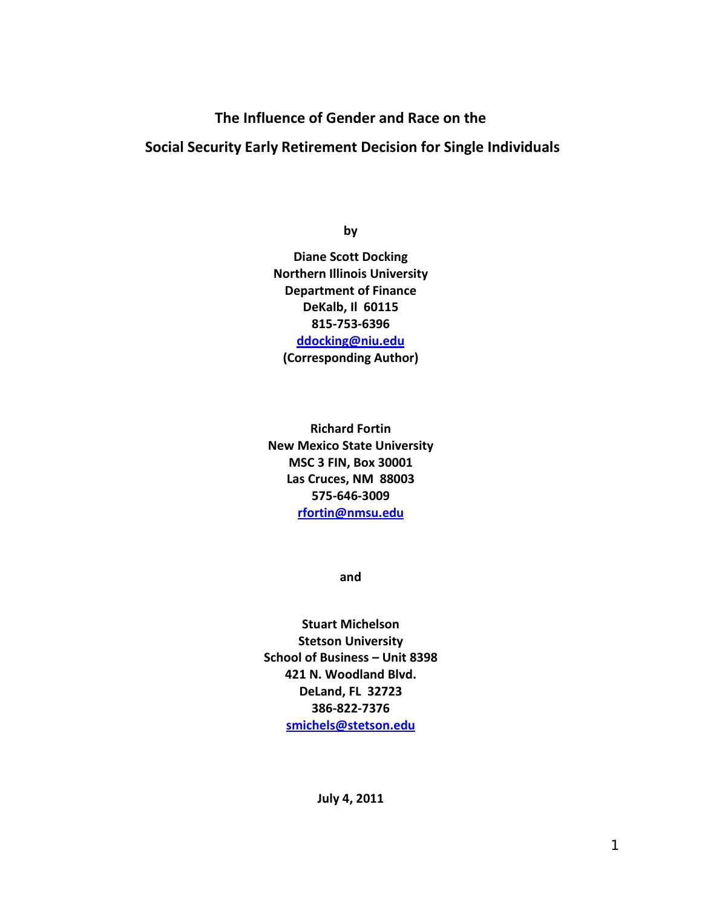## **The Influence of Gender and Race on the**

# **Social Security Early Retirement Decision for Single Individuals**

**by**

**Diane Scott Docking Northern Illinois University Department of Finance DeKalb, Il 60115 815-753-6396 [ddocking@niu.edu](mailto:ddocking@niu.edu) (Corresponding Author)**

**Richard Fortin New Mexico State University MSC 3 FIN, Box 30001 Las Cruces, NM 88003 575-646-3009 [rfortin@nmsu.edu](mailto:rfortin@nmsu.edu)**

**and**

**Stuart Michelson Stetson University School of Business – Unit 8398 421 N. Woodland Blvd. DeLand, FL 32723 386-822-7376 [smichels@stetson.edu](mailto:smichels@stetson.edu)**

**July 4, 2011**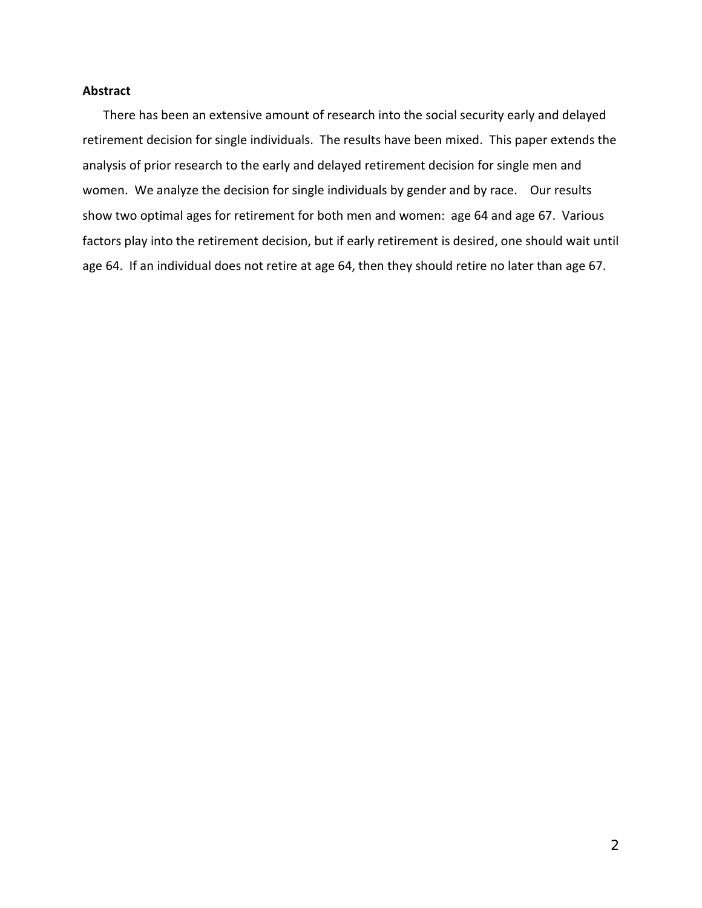### **Abstract**

There has been an extensive amount of research into the social security early and delayed retirement decision for single individuals. The results have been mixed. This paper extends the analysis of prior research to the early and delayed retirement decision for single men and women. We analyze the decision for single individuals by gender and by race. Our results show two optimal ages for retirement for both men and women: age 64 and age 67. Various factors play into the retirement decision, but if early retirement is desired, one should wait until age 64. If an individual does not retire at age 64, then they should retire no later than age 67.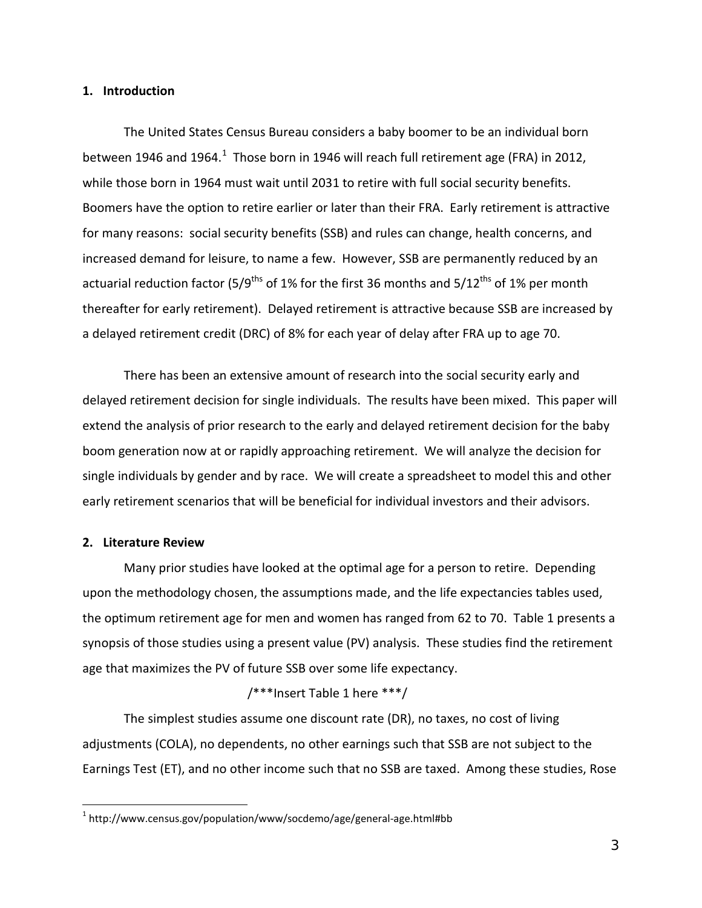#### **1. Introduction**

The United States Census Bureau considers a baby boomer to be an individual born between [1](#page-2-0)946 and 1964. $^1$  Those born in 1946 will reach full retirement age (FRA) in 2012, while those born in 1964 must wait until 2031 to retire with full social security benefits. Boomers have the option to retire earlier or later than their FRA. Early retirement is attractive for many reasons: social security benefits (SSB) and rules can change, health concerns, and increased demand for leisure, to name a few. However, SSB are permanently reduced by an actuarial reduction factor (5/9<sup>ths</sup> of 1% for the first 36 months and 5/12<sup>ths</sup> of 1% per month thereafter for early retirement). Delayed retirement is attractive because SSB are increased by a delayed retirement credit (DRC) of 8% for each year of delay after FRA up to age 70.

There has been an extensive amount of research into the social security early and delayed retirement decision for single individuals. The results have been mixed. This paper will extend the analysis of prior research to the early and delayed retirement decision for the baby boom generation now at or rapidly approaching retirement. We will analyze the decision for single individuals by gender and by race. We will create a spreadsheet to model this and other early retirement scenarios that will be beneficial for individual investors and their advisors.

#### **2. Literature Review**

i

Many prior studies have looked at the optimal age for a person to retire. Depending upon the methodology chosen, the assumptions made, and the life expectancies tables used, the optimum retirement age for men and women has ranged from 62 to 70. Table 1 presents a synopsis of those studies using a present value (PV) analysis. These studies find the retirement age that maximizes the PV of future SSB over some life expectancy.

## /\*\*\*Insert Table 1 here \*\*\*/

The simplest studies assume one discount rate (DR), no taxes, no cost of living adjustments (COLA), no dependents, no other earnings such that SSB are not subject to the Earnings Test (ET), and no other income such that no SSB are taxed. Among these studies, Rose

<span id="page-2-0"></span><sup>&</sup>lt;sup>1</sup> http://www.census.gov/population/www/socdemo/age/general-age.html#bb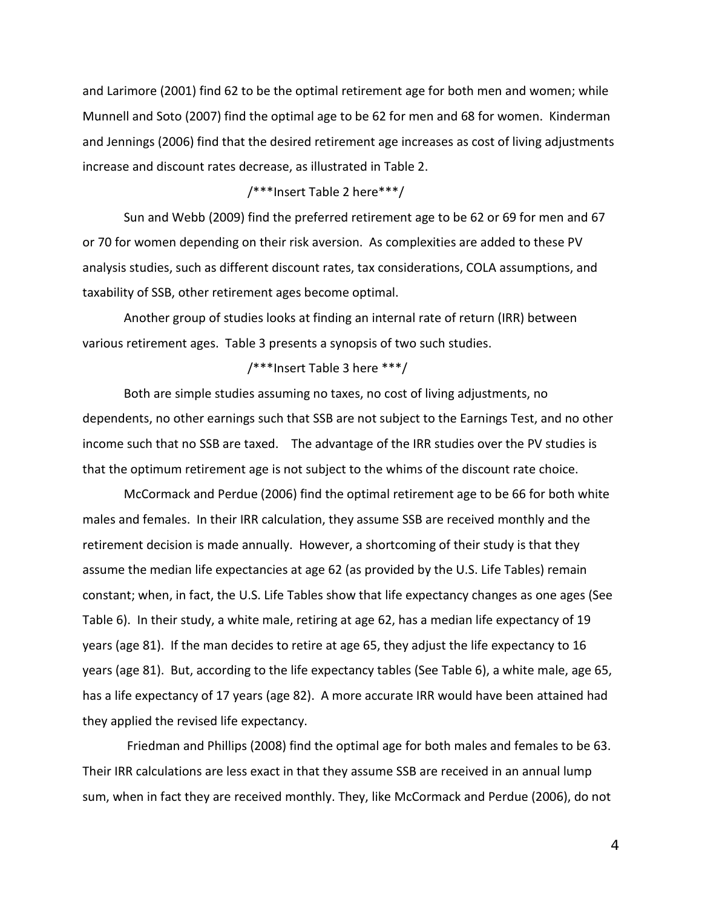and Larimore (2001) find 62 to be the optimal retirement age for both men and women; while Munnell and Soto (2007) find the optimal age to be 62 for men and 68 for women. Kinderman and Jennings (2006) find that the desired retirement age increases as cost of living adjustments increase and discount rates decrease, as illustrated in Table 2.

### /\*\*\*Insert Table 2 here\*\*\*/

Sun and Webb (2009) find the preferred retirement age to be 62 or 69 for men and 67 or 70 for women depending on their risk aversion. As complexities are added to these PV analysis studies, such as different discount rates, tax considerations, COLA assumptions, and taxability of SSB, other retirement ages become optimal.

Another group of studies looks at finding an internal rate of return (IRR) between various retirement ages. Table 3 presents a synopsis of two such studies.

## /\*\*\*Insert Table 3 here \*\*\*/

Both are simple studies assuming no taxes, no cost of living adjustments, no dependents, no other earnings such that SSB are not subject to the Earnings Test, and no other income such that no SSB are taxed. The advantage of the IRR studies over the PV studies is that the optimum retirement age is not subject to the whims of the discount rate choice.

McCormack and Perdue (2006) find the optimal retirement age to be 66 for both white males and females. In their IRR calculation, they assume SSB are received monthly and the retirement decision is made annually. However, a shortcoming of their study is that they assume the median life expectancies at age 62 (as provided by the U.S. Life Tables) remain constant; when, in fact, the U.S. Life Tables show that life expectancy changes as one ages (See Table 6). In their study, a white male, retiring at age 62, has a median life expectancy of 19 years (age 81). If the man decides to retire at age 65, they adjust the life expectancy to 16 years (age 81). But, according to the life expectancy tables (See Table 6), a white male, age 65, has a life expectancy of 17 years (age 82). A more accurate IRR would have been attained had they applied the revised life expectancy.

Friedman and Phillips (2008) find the optimal age for both males and females to be 63. Their IRR calculations are less exact in that they assume SSB are received in an annual lump sum, when in fact they are received monthly. They, like McCormack and Perdue (2006), do not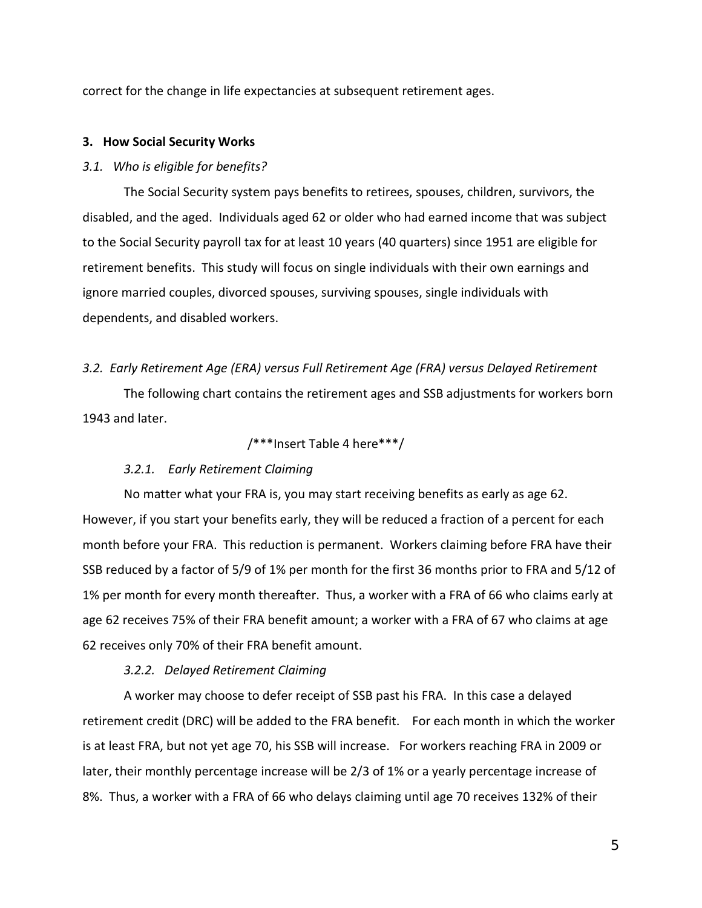correct for the change in life expectancies at subsequent retirement ages.

#### **3. How Social Security Works**

#### *3.1. Who is eligible for benefits?*

The Social Security system pays benefits to retirees, spouses, children, survivors, the disabled, and the aged. Individuals aged 62 or older who had earned income that was subject to the Social Security payroll tax for at least 10 years (40 quarters) since 1951 are eligible for retirement benefits. This study will focus on single individuals with their own earnings and ignore married couples, divorced spouses, surviving spouses, single individuals with dependents, and disabled workers.

## *3.2. Early Retirement Age (ERA) versus Full Retirement Age (FRA) versus Delayed Retirement*

The following chart contains the retirement ages and SSB adjustments for workers born 1943 and later.

/\*\*\*Insert Table 4 here\*\*\*/

#### *3.2.1. Early Retirement Claiming*

No matter what your FRA is, you may start receiving benefits as early as age 62. However, if you start your benefits early, they will be reduced a fraction of a percent for each month before your FRA. This reduction is permanent. Workers claiming before FRA have their SSB reduced by a factor of 5/9 of 1% per month for the first 36 months prior to FRA and 5/12 of 1% per month for every month thereafter. Thus, a worker with a FRA of 66 who claims early at age 62 receives 75% of their FRA benefit amount; a worker with a FRA of 67 who claims at age 62 receives only 70% of their FRA benefit amount.

#### *3.2.2. Delayed Retirement Claiming*

A worker may choose to defer receipt of SSB past his FRA. In this case a delayed retirement credit (DRC) will be added to the FRA benefit. For each month in which the worker is at least FRA, but not yet age 70, his SSB will increase. For workers reaching FRA in 2009 or later, their monthly percentage increase will be 2/3 of 1% or a yearly percentage increase of 8%. Thus, a worker with a FRA of 66 who delays claiming until age 70 receives 132% of their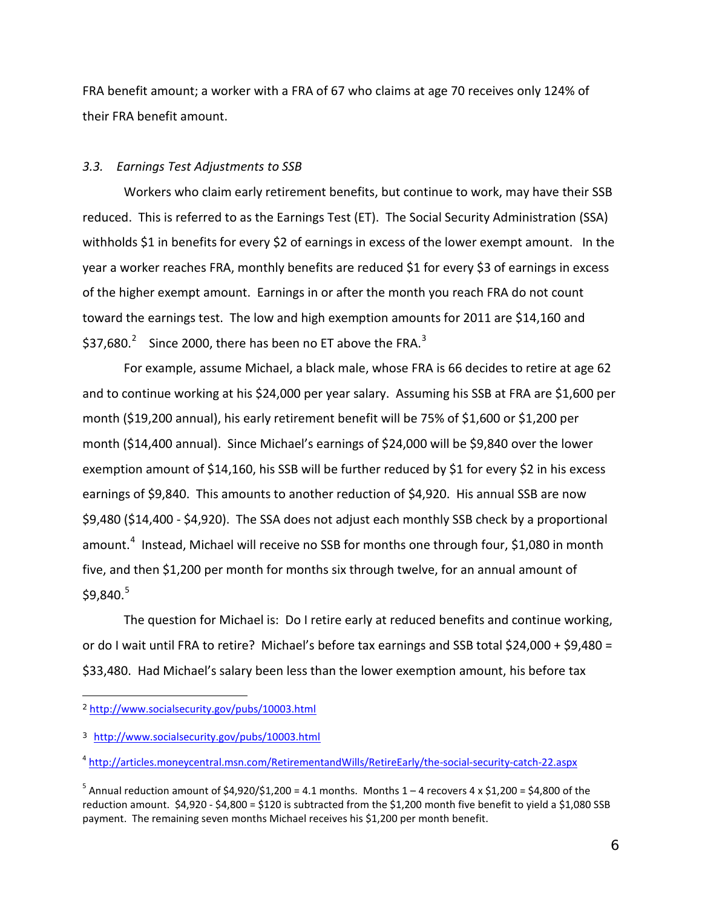FRA benefit amount; a worker with a FRA of 67 who claims at age 70 receives only 124% of their FRA benefit amount.

#### *3.3. Earnings Test Adjustments to SSB*

Workers who claim early retirement benefits, but continue to work, may have their SSB reduced. This is referred to as the Earnings Test (ET). The Social Security Administration (SSA) withholds \$1 in benefits for every \$2 of earnings in excess of the lower exempt amount. In the year a worker reaches FRA, monthly benefits are reduced \$1 for every \$3 of earnings in excess of the higher exempt amount. Earnings in or after the month you reach FRA do not count toward the earnings test. The low and high exemption amounts for 2011 are \$14,160 and \$37,680.<sup>[2](#page-5-0)</sup> Since 2000, there has been no ET above the FRA.<sup>[3](#page-5-1)</sup>

For example, assume Michael, a black male, whose FRA is 66 decides to retire at age 62 and to continue working at his \$24,000 per year salary. Assuming his SSB at FRA are \$1,600 per month (\$19,200 annual), his early retirement benefit will be 75% of \$1,600 or \$1,200 per month (\$14,400 annual). Since Michael's earnings of \$24,000 will be \$9,840 over the lower exemption amount of \$14,160, his SSB will be further reduced by \$1 for every \$2 in his excess earnings of \$9,840. This amounts to another reduction of \$4,920. His annual SSB are now \$9,480 (\$14,400 - \$4,920). The SSA does not adjust each monthly SSB check by a proportional amount.<sup>[4](#page-5-2)</sup> Instead, Michael will receive no SSB for months one through four, \$1,080 in month five, and then \$1,200 per month for months six through twelve, for an annual amount of  $$9,840.<sup>5</sup>$  $$9,840.<sup>5</sup>$  $$9,840.<sup>5</sup>$ 

The question for Michael is: Do I retire early at reduced benefits and continue working, or do I wait until FRA to retire? Michael's before tax earnings and SSB total \$24,000 + \$9,480 = \$33,480. Had Michael's salary been less than the lower exemption amount, his before tax

<span id="page-5-0"></span><sup>2</sup> <http://www.socialsecurity.gov/pubs/10003.html>

<span id="page-5-1"></span><sup>3</sup> <http://www.socialsecurity.gov/pubs/10003.html>

<span id="page-5-2"></span><sup>4</sup> <http://articles.moneycentral.msn.com/RetirementandWills/RetireEarly/the-social-security-catch-22.aspx>

<span id="page-5-3"></span> $5$  Annual reduction amount of \$4,920/\$1,200 = 4.1 months. Months 1 – 4 recovers 4 x \$1,200 = \$4,800 of the reduction amount. \$4,920 - \$4,800 = \$120 is subtracted from the \$1,200 month five benefit to yield a \$1,080 SSB payment. The remaining seven months Michael receives his \$1,200 per month benefit.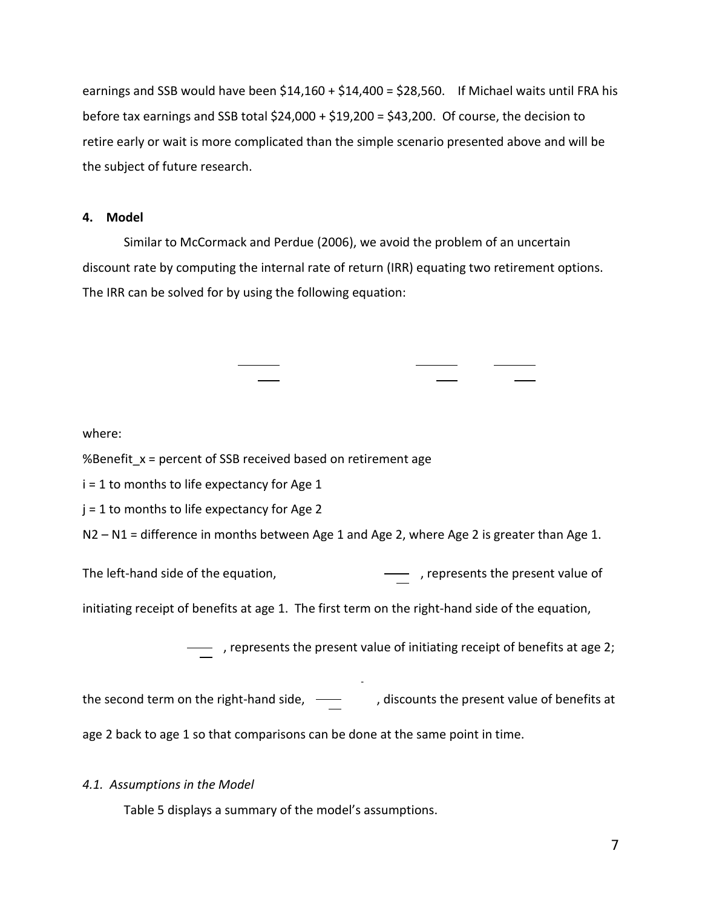earnings and SSB would have been  $$14,160 + $14,400 = $28,560$ . If Michael waits until FRA his before tax earnings and SSB total  $$24,000 + $19,200 = $43,200$ . Of course, the decision to retire early or wait is more complicated than the simple scenario presented above and will be the subject of future research.

## **4. Model**

Similar to McCormack and Perdue (2006), we avoid the problem of an uncertain discount rate by computing the internal rate of return (IRR) equating two retirement options. The IRR can be solved for by using the following equation:

where:

%Benefit  $x =$  percent of SSB received based on retirement age

i = 1 to months to life expectancy for Age 1

j = 1 to months to life expectancy for Age 2

N2 – N1 = difference in months between Age 1 and Age 2, where Age 2 is greater than Age 1.

The left-hand side of the equation, The left-hand side of the equation,  $\frac{1}{100}$ , represents the present value of

initiating receipt of benefits at age 1. The first term on the right-hand side of the equation,

, represents the present value of initiating receipt of benefits at age 2;

the second term on the right-hand side, - , discounts the present value of benefits at age 2 back to age 1 so that comparisons can be done at the same point in time.

## *4.1. Assumptions in the Model*

Table 5 displays a summary of the model's assumptions.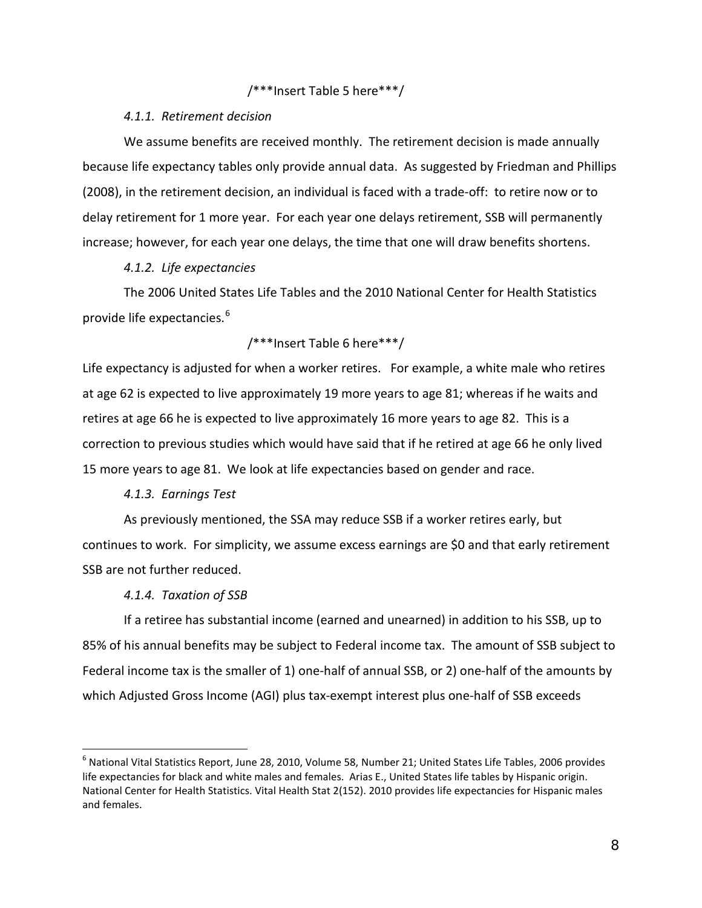## /\*\*\*Insert Table 5 here\*\*\*/

#### *4.1.1. Retirement decision*

We assume benefits are received monthly. The retirement decision is made annually because life expectancy tables only provide annual data. As suggested by Friedman and Phillips (2008), in the retirement decision, an individual is faced with a trade-off: to retire now or to delay retirement for 1 more year. For each year one delays retirement, SSB will permanently increase; however, for each year one delays, the time that one will draw benefits shortens.

#### *4.1.2. Life expectancies*

The 2006 United States Life Tables and the 2010 National Center for Health Statistics provide life expectancies.<sup>[6](#page-7-0)</sup>

## /\*\*\*Insert Table 6 here\*\*\*/

Life expectancy is adjusted for when a worker retires. For example, a white male who retires at age 62 is expected to live approximately 19 more years to age 81; whereas if he waits and retires at age 66 he is expected to live approximately 16 more years to age 82. This is a correction to previous studies which would have said that if he retired at age 66 he only lived 15 more years to age 81. We look at life expectancies based on gender and race.

## *4.1.3. Earnings Test*

As previously mentioned, the SSA may reduce SSB if a worker retires early, but continues to work. For simplicity, we assume excess earnings are \$0 and that early retirement SSB are not further reduced.

*4.1.4. Taxation of SSB*

i

If a retiree has substantial income (earned and unearned) in addition to his SSB, up to 85% of his annual benefits may be subject to Federal income tax. The amount of SSB subject to Federal income tax is the smaller of 1) one-half of annual SSB, or 2) one-half of the amounts by which Adjusted Gross Income (AGI) plus tax-exempt interest plus one-half of SSB exceeds

<span id="page-7-0"></span> $^6$  National Vital Statistics Report, June 28, 2010, Volume 58, Number 21; United States Life Tables, 2006 provides life expectancies for black and white males and females. Arias E., United States life tables by Hispanic origin. National Center for Health Statistics. Vital Health Stat 2(152). 2010 provides life expectancies for Hispanic males and females.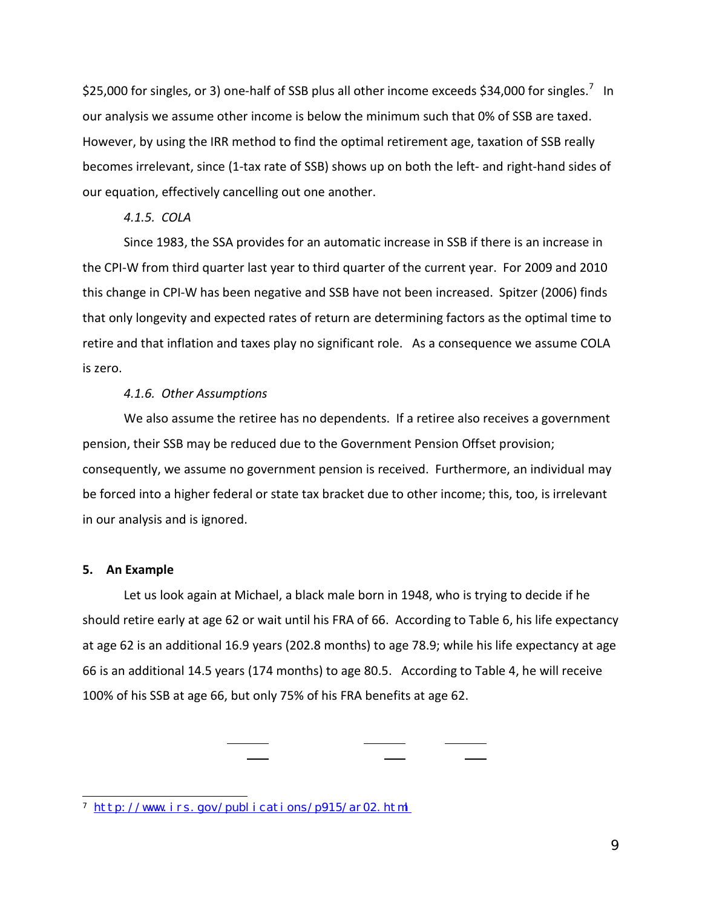\$25,000 for singles, or 3) one-half of SSB plus all other income exceeds \$34,000 for singles.<sup>[7](#page-8-0)</sup> In our analysis we assume other income is below the minimum such that 0% of SSB are taxed. However, by using the IRR method to find the optimal retirement age, taxation of SSB really becomes irrelevant, since (1-tax rate of SSB) shows up on both the left- and right-hand sides of our equation, effectively cancelling out one another.

## *4.1.5. COLA*

Since 1983, the SSA provides for an automatic increase in SSB if there is an increase in the CPI-W from third quarter last year to third quarter of the current year. For 2009 and 2010 this change in CPI-W has been negative and SSB have not been increased. Spitzer (2006) finds that only longevity and expected rates of return are determining factors as the optimal time to retire and that inflation and taxes play no significant role. As a consequence we assume COLA is zero.

## *4.1.6. Other Assumptions*

We also assume the retiree has no dependents. If a retiree also receives a government pension, their SSB may be reduced due to the Government Pension Offset provision; consequently, we assume no government pension is received. Furthermore, an individual may be forced into a higher federal or state tax bracket due to other income; this, too, is irrelevant in our analysis and is ignored.

## **5. An Example**

Let us look again at Michael, a black male born in 1948, who is trying to decide if he should retire early at age 62 or wait until his FRA of 66. According to Table 6, his life expectancy at age 62 is an additional 16.9 years (202.8 months) to age 78.9; while his life expectancy at age 66 is an additional 14.5 years (174 months) to age 80.5. According to Table 4, he will receive 100% of his SSB at age 66, but only 75% of his FRA benefits at age 62.

<span id="page-8-0"></span> <sup>7</sup> <u><http://www.irs.gov/publications/p915/ar02.html></u>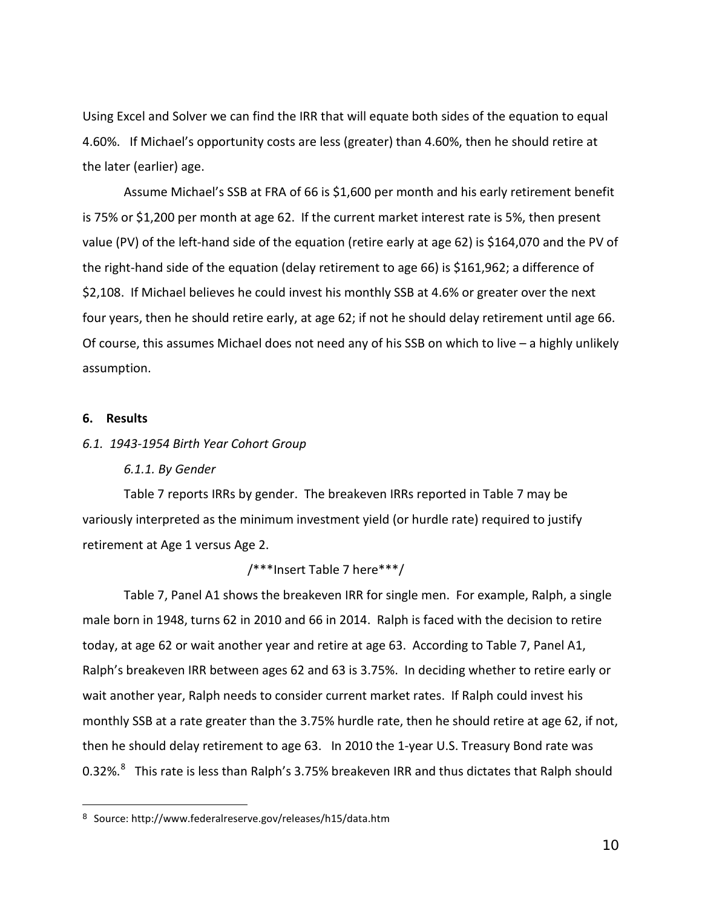Using Excel and Solver we can find the IRR that will equate both sides of the equation to equal 4.60%. If Michael's opportunity costs are less (greater) than 4.60%, then he should retire at the later (earlier) age.

Assume Michael's SSB at FRA of 66 is \$1,600 per month and his early retirement benefit is 75% or \$1,200 per month at age 62. If the current market interest rate is 5%, then present value (PV) of the left-hand side of the equation (retire early at age 62) is \$164,070 and the PV of the right-hand side of the equation (delay retirement to age 66) is \$161,962; a difference of \$2,108. If Michael believes he could invest his monthly SSB at 4.6% or greater over the next four years, then he should retire early, at age 62; if not he should delay retirement until age 66. Of course, this assumes Michael does not need any of his SSB on which to live – a highly unlikely assumption.

### **6. Results**

i

#### *6.1. 1943-1954 Birth Year Cohort Group*

### *6.1.1. By Gender*

Table 7 reports IRRs by gender. The breakeven IRRs reported in Table 7 may be variously interpreted as the minimum investment yield (or hurdle rate) required to justify retirement at Age 1 versus Age 2.

## /\*\*\*Insert Table 7 here\*\*\*/

Table 7, Panel A1 shows the breakeven IRR for single men. For example, Ralph, a single male born in 1948, turns 62 in 2010 and 66 in 2014. Ralph is faced with the decision to retire today, at age 62 or wait another year and retire at age 63. According to Table 7, Panel A1, Ralph's breakeven IRR between ages 62 and 63 is 3.75%. In deciding whether to retire early or wait another year, Ralph needs to consider current market rates. If Ralph could invest his monthly SSB at a rate greater than the 3.75% hurdle rate, then he should retire at age 62, if not, then he should delay retirement to age 63. In 2010 the 1-year U.S. Treasury Bond rate was 0.32%.<sup>[8](#page-9-0)</sup> This rate is less than Ralph's 3.75% breakeven IRR and thus dictates that Ralph should

<span id="page-9-0"></span><sup>8</sup> Source: http://www.federalreserve.gov/releases/h15/data.htm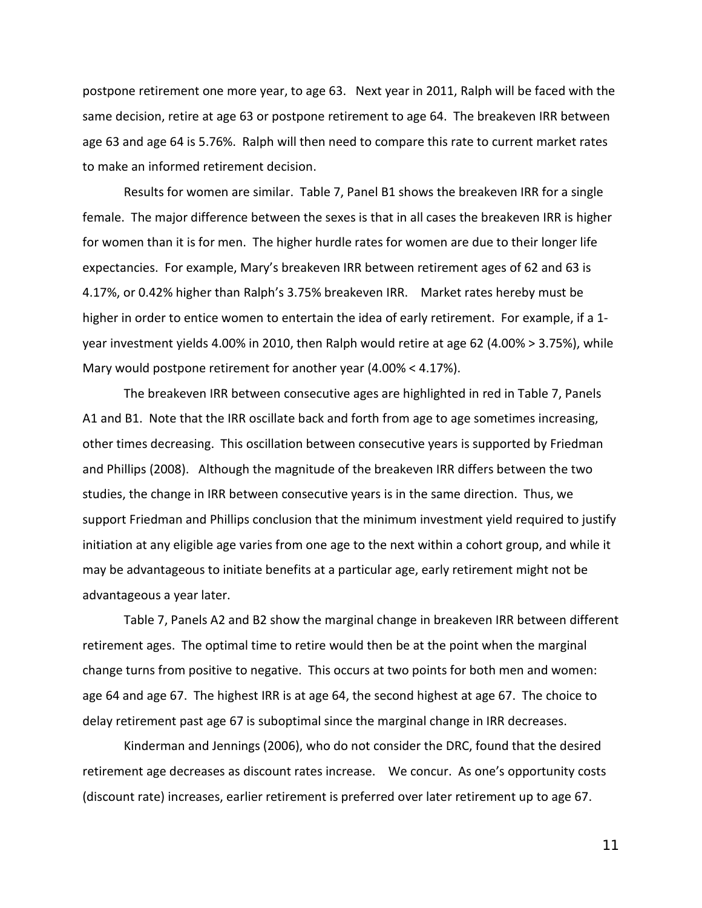postpone retirement one more year, to age 63. Next year in 2011, Ralph will be faced with the same decision, retire at age 63 or postpone retirement to age 64. The breakeven IRR between age 63 and age 64 is 5.76%. Ralph will then need to compare this rate to current market rates to make an informed retirement decision.

Results for women are similar. Table 7, Panel B1 shows the breakeven IRR for a single female. The major difference between the sexes is that in all cases the breakeven IRR is higher for women than it is for men. The higher hurdle rates for women are due to their longer life expectancies. For example, Mary's breakeven IRR between retirement ages of 62 and 63 is 4.17%, or 0.42% higher than Ralph's 3.75% breakeven IRR. Market rates hereby must be higher in order to entice women to entertain the idea of early retirement. For example, if a 1 year investment yields 4.00% in 2010, then Ralph would retire at age 62 (4.00% > 3.75%), while Mary would postpone retirement for another year (4.00% < 4.17%).

The breakeven IRR between consecutive ages are highlighted in red in Table 7, Panels A1 and B1. Note that the IRR oscillate back and forth from age to age sometimes increasing, other times decreasing. This oscillation between consecutive years is supported by Friedman and Phillips (2008). Although the magnitude of the breakeven IRR differs between the two studies, the change in IRR between consecutive years is in the same direction. Thus, we support Friedman and Phillips conclusion that the minimum investment yield required to justify initiation at any eligible age varies from one age to the next within a cohort group, and while it may be advantageous to initiate benefits at a particular age, early retirement might not be advantageous a year later.

Table 7, Panels A2 and B2 show the marginal change in breakeven IRR between different retirement ages. The optimal time to retire would then be at the point when the marginal change turns from positive to negative. This occurs at two points for both men and women: age 64 and age 67. The highest IRR is at age 64, the second highest at age 67. The choice to delay retirement past age 67 is suboptimal since the marginal change in IRR decreases.

Kinderman and Jennings (2006), who do not consider the DRC, found that the desired retirement age decreases as discount rates increase. We concur. As one's opportunity costs (discount rate) increases, earlier retirement is preferred over later retirement up to age 67.

11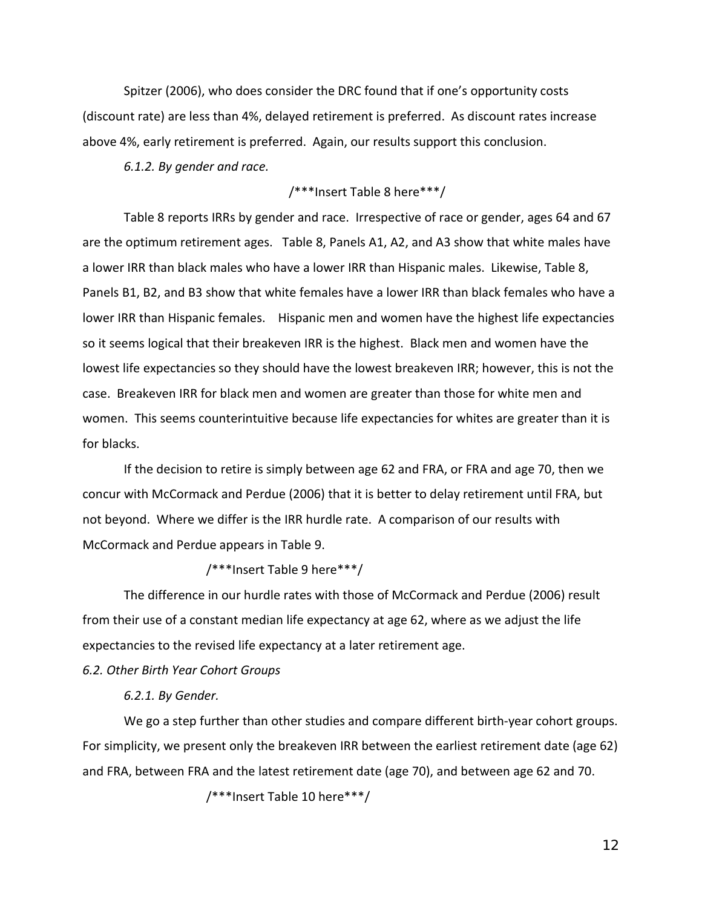Spitzer (2006), who does consider the DRC found that if one's opportunity costs (discount rate) are less than 4%, delayed retirement is preferred. As discount rates increase above 4%, early retirement is preferred. Again, our results support this conclusion.

*6.1.2. By gender and race.*

## /\*\*\*Insert Table 8 here\*\*\*/

Table 8 reports IRRs by gender and race. Irrespective of race or gender, ages 64 and 67 are the optimum retirement ages. Table 8, Panels A1, A2, and A3 show that white males have a lower IRR than black males who have a lower IRR than Hispanic males. Likewise, Table 8, Panels B1, B2, and B3 show that white females have a lower IRR than black females who have a lower IRR than Hispanic females. Hispanic men and women have the highest life expectancies so it seems logical that their breakeven IRR is the highest. Black men and women have the lowest life expectancies so they should have the lowest breakeven IRR; however, this is not the case. Breakeven IRR for black men and women are greater than those for white men and women. This seems counterintuitive because life expectancies for whites are greater than it is for blacks.

If the decision to retire is simply between age 62 and FRA, or FRA and age 70, then we concur with McCormack and Perdue (2006) that it is better to delay retirement until FRA, but not beyond. Where we differ is the IRR hurdle rate. A comparison of our results with McCormack and Perdue appears in Table 9.

/\*\*\*Insert Table 9 here\*\*\*/

The difference in our hurdle rates with those of McCormack and Perdue (2006) result from their use of a constant median life expectancy at age 62, where as we adjust the life expectancies to the revised life expectancy at a later retirement age.

*6.2. Other Birth Year Cohort Groups*

*6.2.1. By Gender.*

We go a step further than other studies and compare different birth-year cohort groups. For simplicity, we present only the breakeven IRR between the earliest retirement date (age 62) and FRA, between FRA and the latest retirement date (age 70), and between age 62 and 70.

/\*\*\*Insert Table 10 here\*\*\*/

12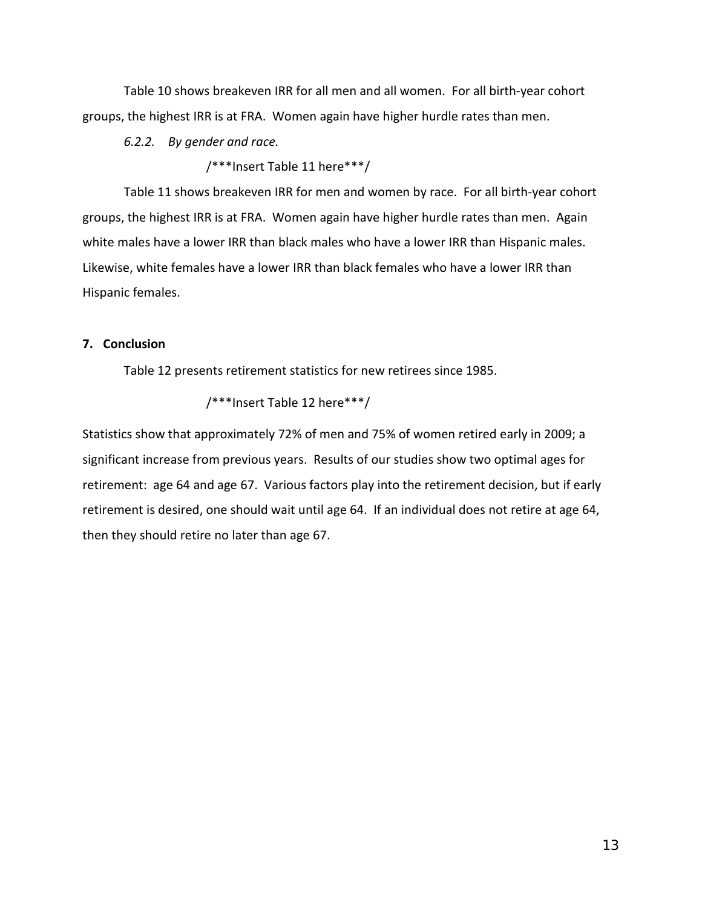Table 10 shows breakeven IRR for all men and all women. For all birth-year cohort groups, the highest IRR is at FRA. Women again have higher hurdle rates than men.

*6.2.2. By gender and race.*

/\*\*\*Insert Table 11 here\*\*\*/

Table 11 shows breakeven IRR for men and women by race. For all birth-year cohort groups, the highest IRR is at FRA. Women again have higher hurdle rates than men. Again white males have a lower IRR than black males who have a lower IRR than Hispanic males. Likewise, white females have a lower IRR than black females who have a lower IRR than Hispanic females.

### **7. Conclusion**

Table 12 presents retirement statistics for new retirees since 1985.

/\*\*\*Insert Table 12 here\*\*\*/

Statistics show that approximately 72% of men and 75% of women retired early in 2009; a significant increase from previous years. Results of our studies show two optimal ages for retirement: age 64 and age 67. Various factors play into the retirement decision, but if early retirement is desired, one should wait until age 64. If an individual does not retire at age 64, then they should retire no later than age 67.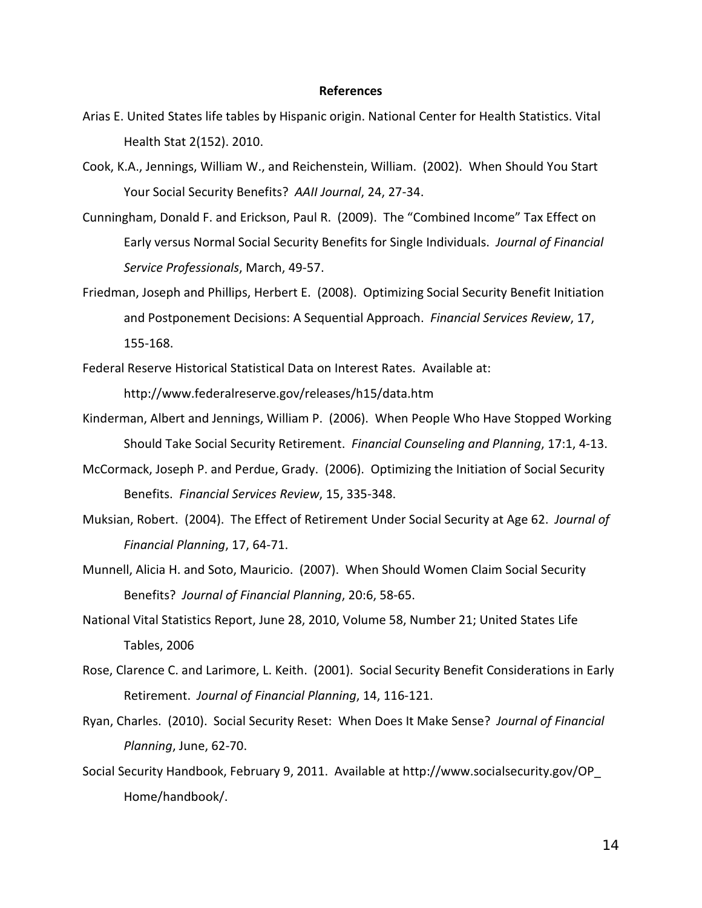#### **References**

- Arias E. United States life tables by Hispanic origin. National Center for Health Statistics. Vital Health Stat 2(152). 2010.
- Cook, K.A., Jennings, William W., and Reichenstein, William. (2002). When Should You Start Your Social Security Benefits? *AAII Journal*, 24, 27-34.
- Cunningham, Donald F. and Erickson, Paul R. (2009). The "Combined Income" Tax Effect on Early versus Normal Social Security Benefits for Single Individuals. *Journal of Financial Service Professionals*, March, 49-57.
- Friedman, Joseph and Phillips, Herbert E. (2008). Optimizing Social Security Benefit Initiation and Postponement Decisions: A Sequential Approach. *Financial Services Review*, 17, 155-168.
- Federal Reserve Historical Statistical Data on Interest Rates. Available at: http://www.federalreserve.gov/releases/h15/data.htm
- Kinderman, Albert and Jennings, William P. (2006). When People Who Have Stopped Working Should Take Social Security Retirement. *Financial Counseling and Planning*, 17:1, 4-13.
- McCormack, Joseph P. and Perdue, Grady. (2006). Optimizing the Initiation of Social Security Benefits. *Financial Services Review*, 15, 335-348.
- Muksian, Robert. (2004). The Effect of Retirement Under Social Security at Age 62. *Journal of Financial Planning*, 17, 64-71.
- Munnell, Alicia H. and Soto, Mauricio. (2007). When Should Women Claim Social Security Benefits? *Journal of Financial Planning*, 20:6, 58-65.
- National Vital Statistics Report, June 28, 2010, Volume 58, Number 21; United States Life Tables, 2006
- Rose, Clarence C. and Larimore, L. Keith. (2001). Social Security Benefit Considerations in Early Retirement. *Journal of Financial Planning*, 14, 116-121.
- Ryan, Charles. (2010). Social Security Reset: When Does It Make Sense? *Journal of Financial Planning*, June, 62-70.
- Social Security Handbook, February 9, 2011. Available at http://www.socialsecurity.gov/OP\_ Home/handbook/.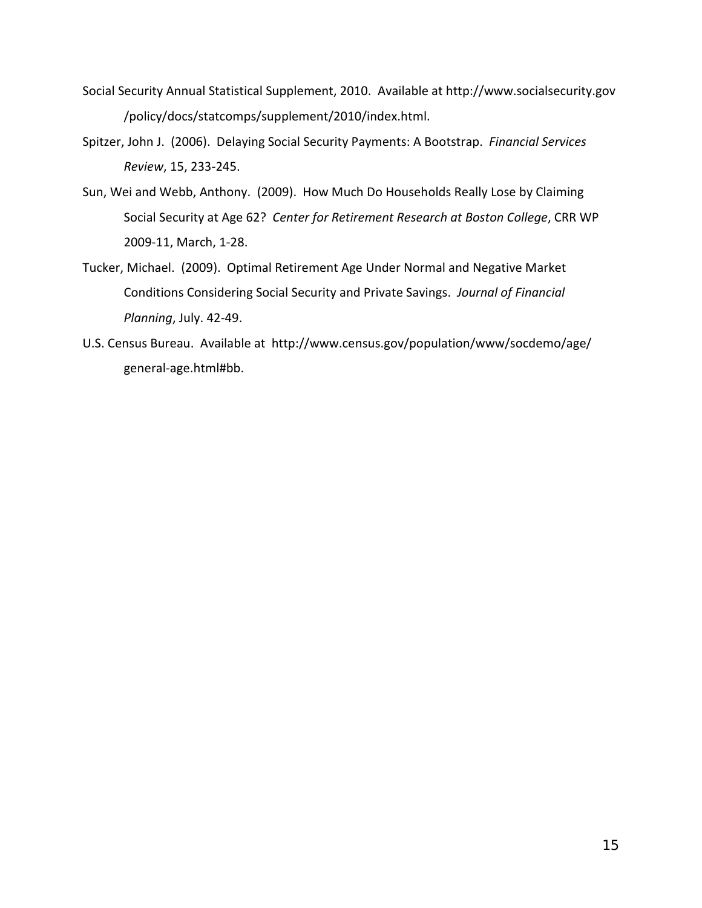- Social Security Annual Statistical Supplement, 2010. Available at http://www.socialsecurity.gov /policy/docs/statcomps/supplement/2010/index.html.
- Spitzer, John J. (2006). Delaying Social Security Payments: A Bootstrap. *Financial Services Review*, 15, 233-245.
- Sun, Wei and Webb, Anthony. (2009). How Much Do Households Really Lose by Claiming Social Security at Age 62? *Center for Retirement Research at Boston College*, CRR WP 2009-11, March, 1-28.
- Tucker, Michael. (2009). Optimal Retirement Age Under Normal and Negative Market Conditions Considering Social Security and Private Savings. *Journal of Financial Planning*, July. 42-49.
- U.S. Census Bureau. Available at http://www.census.gov/population/www/socdemo/age/ general-age.html#bb.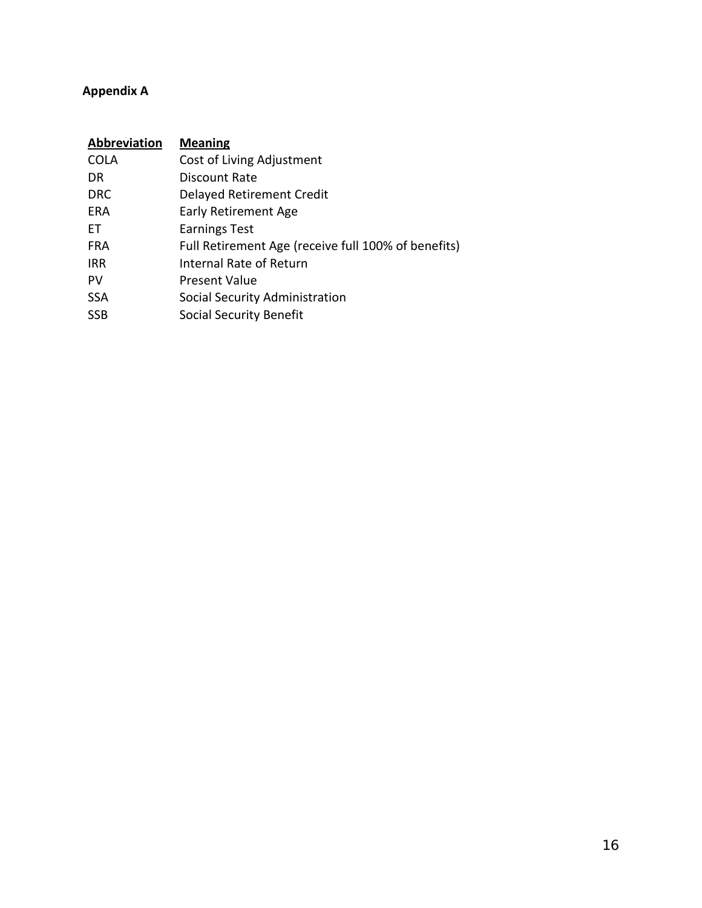# **Appendix A**

| Abbreviation | <b>Meaning</b>                                      |
|--------------|-----------------------------------------------------|
| <b>COLA</b>  | Cost of Living Adjustment                           |
| DR           | <b>Discount Rate</b>                                |
| <b>DRC</b>   | Delayed Retirement Credit                           |
| ERA          | <b>Early Retirement Age</b>                         |
| FT.          | <b>Earnings Test</b>                                |
| <b>FRA</b>   | Full Retirement Age (receive full 100% of benefits) |
| <b>IRR</b>   | Internal Rate of Return                             |
| PV           | Present Value                                       |
| <b>SSA</b>   | Social Security Administration                      |
| <b>SSB</b>   | Social Security Benefit                             |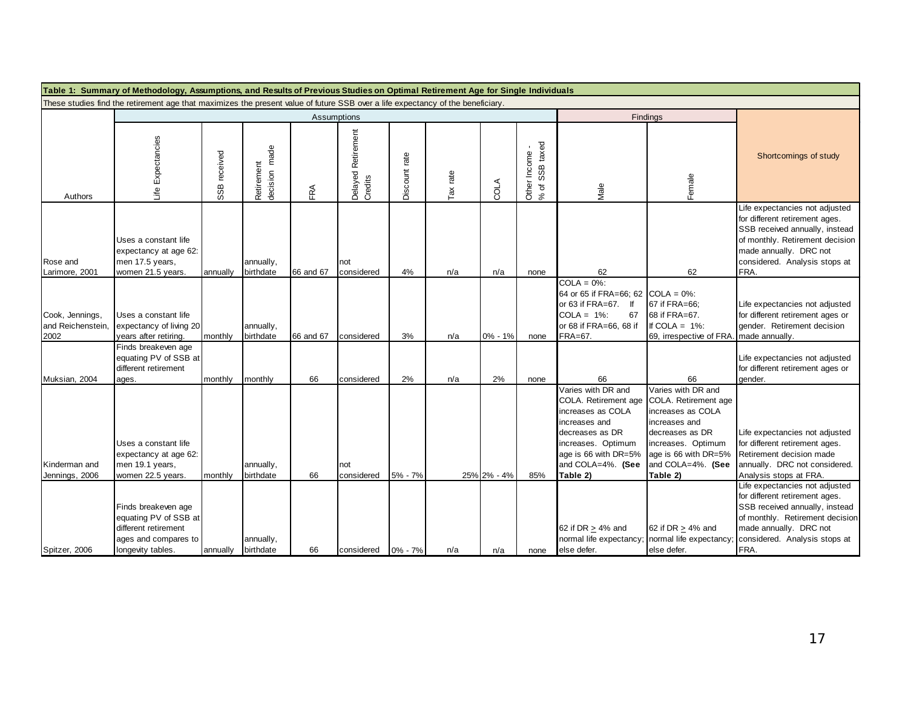|                                              | Table 1: Summary of Methodology, Assumptions, and Results of Previous Studies on Optimal Retirement Age for Single Individuals  |              |                             |           |                               |                    |          |             |                                                        |                                                                                                                                                                                    |                                                                                                                                                                                    |                                                                                                                                                                                                          |
|----------------------------------------------|---------------------------------------------------------------------------------------------------------------------------------|--------------|-----------------------------|-----------|-------------------------------|--------------------|----------|-------------|--------------------------------------------------------|------------------------------------------------------------------------------------------------------------------------------------------------------------------------------------|------------------------------------------------------------------------------------------------------------------------------------------------------------------------------------|----------------------------------------------------------------------------------------------------------------------------------------------------------------------------------------------------------|
|                                              | These studies find the retirement age that maximizes the present value of future SSB over a life expectancy of the beneficiary. |              |                             |           |                               |                    |          |             |                                                        |                                                                                                                                                                                    |                                                                                                                                                                                    |                                                                                                                                                                                                          |
|                                              |                                                                                                                                 |              |                             |           | Assumptions                   |                    |          |             |                                                        |                                                                                                                                                                                    | Findings                                                                                                                                                                           |                                                                                                                                                                                                          |
| Authors                                      | Life Expectancies                                                                                                               | SSB received | decision made<br>Retirement | FRA       | Delayed Retirement<br>Credits | rate<br>Discount I | Tax rate | COLA        | SSB taxed<br>Other Income<br>$\mathcal{P}$<br>$\aleph$ | Male                                                                                                                                                                               | Female                                                                                                                                                                             | Shortcomings of study                                                                                                                                                                                    |
| Rose and<br>Larimore, 2001                   | Uses a constant life<br>expectancy at age 62:<br>men 17.5 years,<br>women 21.5 years.                                           | annually     | annually,<br>birthdate      | 66 and 67 | not<br>considered             | 4%                 | n/a      | n/a         | none                                                   | 62                                                                                                                                                                                 | 62                                                                                                                                                                                 | Life expectancies not adjusted<br>for different retirement ages.<br>SSB received annually, instead<br>of monthly. Retirement decision<br>made annually. DRC not<br>considered. Analysis stops at<br>FRA. |
| Cook, Jennings,<br>and Reichenstein,<br>2002 | Uses a constant life<br>expectancy of living 20<br>years after retiring.                                                        | monthly      | annually,<br>birthdate      | 66 and 67 | considered                    | 3%                 | n/a      | $0\% - 1\%$ | none                                                   | $COLA = 0\%$<br>64 or 65 if FRA=66; 62 COLA = $0\%$ :<br>or $63$ if $FRA=67$ . If<br>$COLA = 1\%$ :<br>67<br>or 68 if FRA=66, 68 if<br>FRA=67.                                     | 67 if FRA=66;<br>68 if FRA=67.<br>If COLA = $1\%$ :<br>69, irrespective of FRA                                                                                                     | Life expectancies not adjusted<br>for different retirement ages or<br>gender. Retirement decision<br>made annually.                                                                                      |
| Muksian, 2004                                | Finds breakeven age<br>equating PV of SSB at<br>different retirement<br>ages.                                                   | monthly      | monthly                     | 66        | considered                    | 2%                 | n/a      | 2%          | none                                                   | 66                                                                                                                                                                                 | 66                                                                                                                                                                                 | Life expectancies not adjusted<br>for different retirement ages or<br>gender.                                                                                                                            |
| Kinderman and<br>Jennings, 2006              | Uses a constant life<br>expectancy at age 62:<br>men 19.1 years,<br>women 22.5 years.                                           | monthly      | annually,<br>birthdate      | 66        | not<br>considered             | 5% - 7%            |          | 25% 2% - 4% | 85%                                                    | Varies with DR and<br>COLA. Retirement age<br>increases as COLA<br>increases and<br>decreases as DR<br>increases. Optimum<br>age is 66 with DR=5%<br>and COLA=4%. (See<br>Table 2) | Varies with DR and<br>COLA. Retirement age<br>increases as COLA<br>increases and<br>decreases as DR<br>increases. Optimum<br>age is 66 with DR=5%<br>and COLA=4%. (See<br>Table 2) | Life expectancies not adjusted<br>for different retirement ages.<br>Retirement decision made<br>annually. DRC not considered.<br>Analysis stops at FRA.                                                  |
| Spitzer, 2006                                | Finds breakeven age<br>equating PV of SSB at<br>different retirement<br>ages and compares to<br>longevity tables.               | annually     | annually,<br>birthdate      | 66        | considered                    | 0% - 7%            | n/a      | n/a         | none                                                   | 62 if DR > 4% and<br>normal life expectancy;<br>else defer.                                                                                                                        | 62 if DR > 4% and<br>normal life expectancy;<br>else defer.                                                                                                                        | Life expectancies not adjusted<br>for different retirement ages.<br>SSB received annually, instead<br>of monthly. Retirement decision<br>made annually. DRC not<br>considered. Analysis stops at<br>FRA. |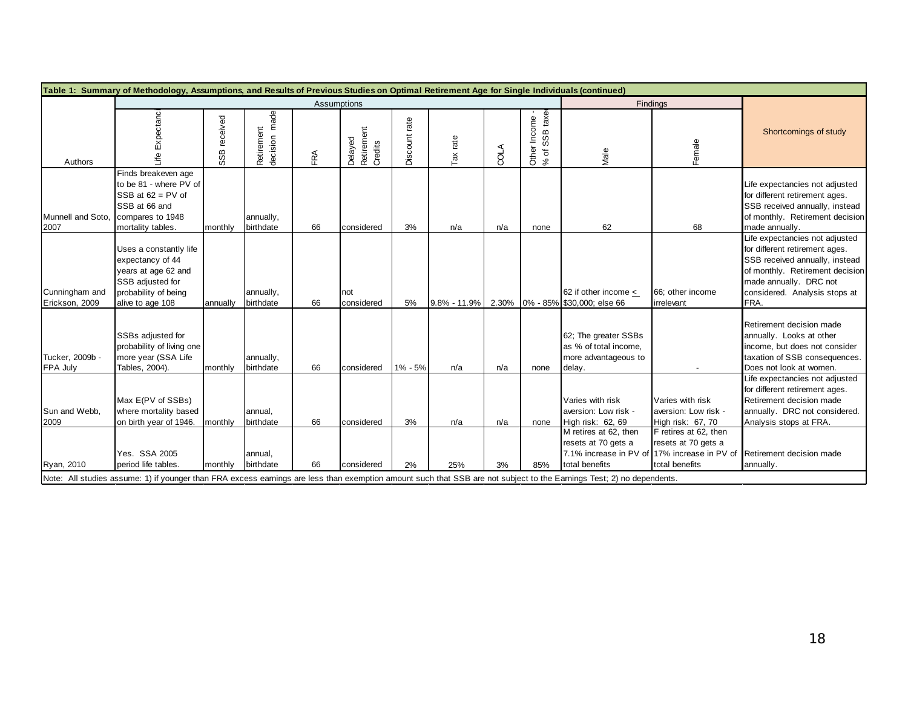|                                  | Table 1: Summary of Methodology, Assumptions, and Results of Previous Studies on Optimal Retirement Age for Single Individuals (continued) |                 |                             |     |                                  |                  |                  |      |                                               |                                                                                                                                                                                                                                                                                         |                                                                |                                                                                                                                                                                                          |
|----------------------------------|--------------------------------------------------------------------------------------------------------------------------------------------|-----------------|-----------------------------|-----|----------------------------------|------------------|------------------|------|-----------------------------------------------|-----------------------------------------------------------------------------------------------------------------------------------------------------------------------------------------------------------------------------------------------------------------------------------------|----------------------------------------------------------------|----------------------------------------------------------------------------------------------------------------------------------------------------------------------------------------------------------|
|                                  |                                                                                                                                            |                 |                             |     | Assumptions                      |                  |                  |      |                                               |                                                                                                                                                                                                                                                                                         | Findings                                                       |                                                                                                                                                                                                          |
| Authors                          | Life Expectanci                                                                                                                            | received<br>SSB | decision made<br>Retirement | FRA | Retirement<br>Credits<br>Delayed | rate<br>Discount | Tax rate         | COLA | taxed<br>Other Income<br>SSB<br>৳<br>$\aleph$ | Male                                                                                                                                                                                                                                                                                    | Female                                                         | Shortcomings of study                                                                                                                                                                                    |
| Munnell and Soto,<br>2007        | Finds breakeven age<br>to be 81 - where PV of<br>SSB at $62 = PV$ of<br>SSB at 66 and<br>compares to 1948<br>mortality tables.             | monthly         | annually,<br>birthdate      | 66  | considered                       | 3%               | n/a              | n/a  | none                                          | 62                                                                                                                                                                                                                                                                                      | 68                                                             | Life expectancies not adjusted<br>for different retirement ages.<br>SSB received annually, instead<br>of monthly. Retirement decision<br>made annually.                                                  |
| Cunningham and<br>Erickson, 2009 | Uses a constantly life<br>expectancy of 44<br>years at age 62 and<br>SSB adjusted for<br>probability of being<br>alive to age 108          | annually        | annually,<br>birthdate      | 66  | not<br>considered                | 5%               | $9.8\% - 11.9\%$ |      |                                               | 62 if other income <<br>2.30% 0% - 85% \$30,000; else 66                                                                                                                                                                                                                                | 66; other income<br>irrelevant                                 | Life expectancies not adjusted<br>for different retirement ages.<br>SSB received annually, instead<br>of monthly. Retirement decision<br>made annually. DRC not<br>considered. Analysis stops at<br>FRA. |
| Tucker, 2009b -<br>FPA July      | SSBs adjusted for<br>probability of living one<br>more year (SSA Life<br>Tables, 2004).                                                    | monthly         | annually,<br>birthdate      | 66  | considered                       | $1\% - 5\%$      | n/a              | n/a  | none                                          | 62; The greater SSBs<br>as % of total income,<br>more advantageous to<br>delay.                                                                                                                                                                                                         |                                                                | Retirement decision made<br>annually. Looks at other<br>income, but does not consider<br>taxation of SSB consequences.<br>Does not look at women.                                                        |
| Sun and Webb,<br>2009            | Max E(PV of SSBs)<br>where mortality based<br>on birth year of 1946.                                                                       | monthly         | annual.<br>birthdate        | 66  | considered                       | 3%               | n/a              | n/a  | none                                          | Varies with risk<br>aversion: Low risk -<br>High risk: 62, 69                                                                                                                                                                                                                           | Varies with risk<br>aversion: Low risk -<br>High risk: 67, 70  | Life expectancies not adjusted<br>for different retirement ages.<br>Retirement decision made<br>annually. DRC not considered.<br>Analysis stops at FRA.                                                  |
| Ryan, 2010                       | Yes. SSA 2005<br>period life tables.                                                                                                       | monthly         | annual,<br>birthdate        | 66  | considered                       | 2%               | 25%              | 3%   | 85%                                           | M retires at 62, then<br>resets at 70 gets a<br>7.1% increase in PV of 17% increase in PV of<br>total benefits<br>Note: All studies assume: 1) if younger than FRA excess earnings are less than exemption amount such that SSB are not subject to the Earnings Test; 2) no dependents. | F retires at 62, then<br>resets at 70 gets a<br>total benefits | Retirement decision made<br>annually.                                                                                                                                                                    |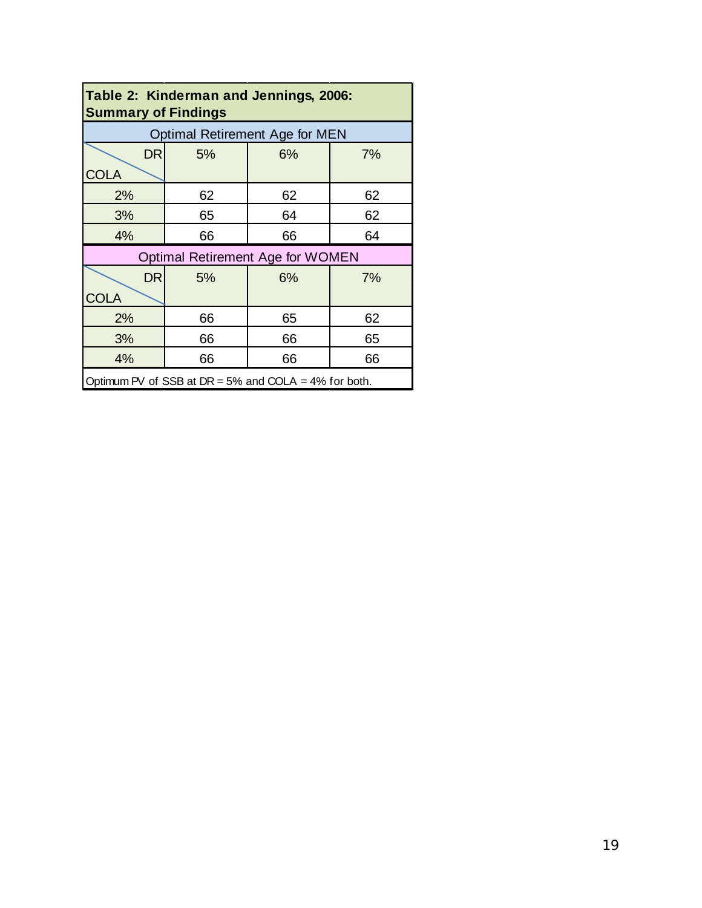| Table 2: Kinderman and Jennings, 2006:<br><b>Summary of Findings</b> |    |                                                            |    |  |  |  |  |  |  |  |  |  |  |  |
|----------------------------------------------------------------------|----|------------------------------------------------------------|----|--|--|--|--|--|--|--|--|--|--|--|
| Optimal Retirement Age for MEN                                       |    |                                                            |    |  |  |  |  |  |  |  |  |  |  |  |
| 5%<br>6%<br>7%<br>DR                                                 |    |                                                            |    |  |  |  |  |  |  |  |  |  |  |  |
| <b>COLA</b>                                                          |    |                                                            |    |  |  |  |  |  |  |  |  |  |  |  |
| 2%<br>62<br>62<br>62                                                 |    |                                                            |    |  |  |  |  |  |  |  |  |  |  |  |
| 3%                                                                   | 65 | 64                                                         | 62 |  |  |  |  |  |  |  |  |  |  |  |
| 4%                                                                   | 66 | 66                                                         | 64 |  |  |  |  |  |  |  |  |  |  |  |
|                                                                      |    | <b>Optimal Retirement Age for WOMEN</b>                    |    |  |  |  |  |  |  |  |  |  |  |  |
| DR                                                                   | 5% | 6%                                                         | 7% |  |  |  |  |  |  |  |  |  |  |  |
| <b>COLA</b>                                                          |    |                                                            |    |  |  |  |  |  |  |  |  |  |  |  |
| 2%                                                                   | 66 | 65                                                         | 62 |  |  |  |  |  |  |  |  |  |  |  |
| 3%                                                                   | 66 | 66                                                         | 65 |  |  |  |  |  |  |  |  |  |  |  |
| 4%                                                                   | 66 | 66                                                         | 66 |  |  |  |  |  |  |  |  |  |  |  |
|                                                                      |    | Optimum PV of SSB at DR = $5\%$ and COLA = $4\%$ for both. |    |  |  |  |  |  |  |  |  |  |  |  |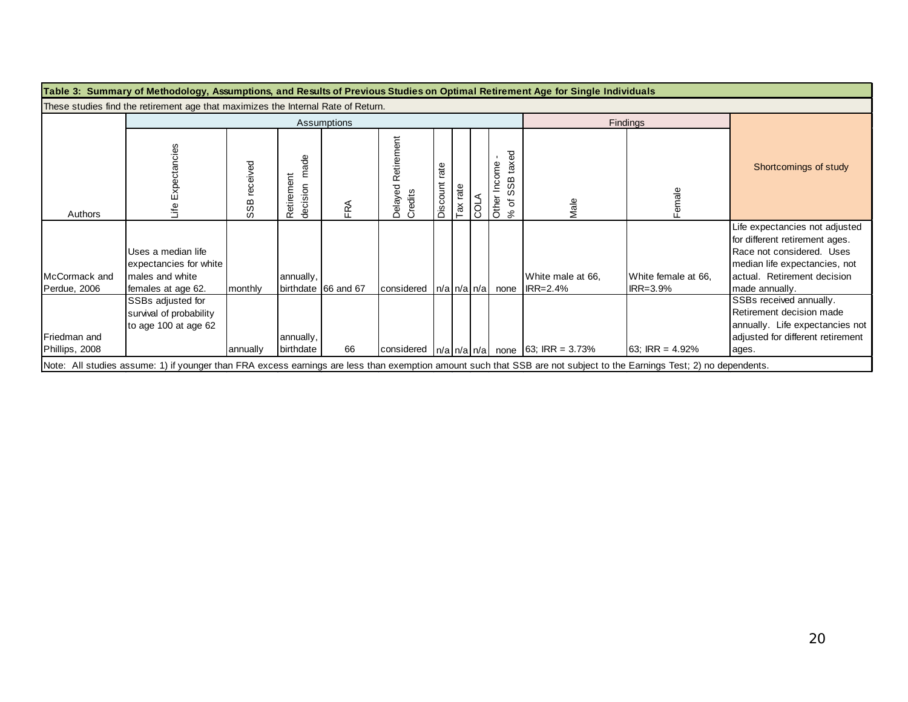| Table 3: Summary of Methodology, Assumptions, and Results of Previous Studies on Optimal Retirement Age for Single Individuals<br>These studies find the retirement age that maximizes the Internal Rate of Return. |                                                                                                            |                        |                                    |                     |                                     |                  |             |   |                                                                         |                                                                                                                                                                       |                                        |                                                                                                                                                                                                            |  |  |
|---------------------------------------------------------------------------------------------------------------------------------------------------------------------------------------------------------------------|------------------------------------------------------------------------------------------------------------|------------------------|------------------------------------|---------------------|-------------------------------------|------------------|-------------|---|-------------------------------------------------------------------------|-----------------------------------------------------------------------------------------------------------------------------------------------------------------------|----------------------------------------|------------------------------------------------------------------------------------------------------------------------------------------------------------------------------------------------------------|--|--|
|                                                                                                                                                                                                                     |                                                                                                            |                        |                                    |                     |                                     |                  |             |   |                                                                         |                                                                                                                                                                       |                                        |                                                                                                                                                                                                            |  |  |
|                                                                                                                                                                                                                     |                                                                                                            |                        |                                    | Assumptions         |                                     |                  |             |   |                                                                         |                                                                                                                                                                       | Findings                               |                                                                                                                                                                                                            |  |  |
| Authors                                                                                                                                                                                                             | Life Expectancies                                                                                          | 79<br>ceiv<br>₫<br>SSB | ade<br>ε<br>Retirement<br>decision | FRA                 | θŲ<br>Retirem<br>Delayed<br>Credits | rate<br>Discount | rate<br>Tax | ğ | taxed<br>Other Income<br>$\mathbf  \, \mathbf  \,$<br>S<br>ഗ<br>ъ<br>వి | Male                                                                                                                                                                  | emale                                  | Shortcomings of study                                                                                                                                                                                      |  |  |
| McCormack and<br>Perdue, 2006                                                                                                                                                                                       | Uses a median life<br>expectancies for white<br>males and white<br>females at age 62.<br>SSBs adjusted for | monthly                | annually,                          | birthdate 66 and 67 | considered   n/a  n/a  n/a  none    |                  |             |   |                                                                         | White male at 66,<br>$IRR = 2.4%$                                                                                                                                     | White female at 66,<br><b>IRR=3.9%</b> | Life expectancies not adjusted<br>for different retirement ages.<br>Race not considered. Uses<br>median life expectancies, not<br>actual. Retirement decision<br>made annually.<br>SSBs received annually. |  |  |
| Friedman and<br>Phillips, 2008                                                                                                                                                                                      | survival of probability<br>to age 100 at age 62                                                            | annually               | annually,<br>birthdate             | 66                  |                                     |                  |             |   |                                                                         | considered $\lfloor n/a \rfloor n/a \rfloor n/a$ none 63; IRR = 3.73%                                                                                                 | 63; IRR = $4.92\%$                     | Retirement decision made<br>annually. Life expectancies not<br>adjusted for different retirement<br>ages.                                                                                                  |  |  |
|                                                                                                                                                                                                                     |                                                                                                            |                        |                                    |                     |                                     |                  |             |   |                                                                         | Note: All studies assume: 1) if younger than FRA excess earnings are less than exemption amount such that SSB are not subject to the Earnings Test; 2) no dependents. |                                        |                                                                                                                                                                                                            |  |  |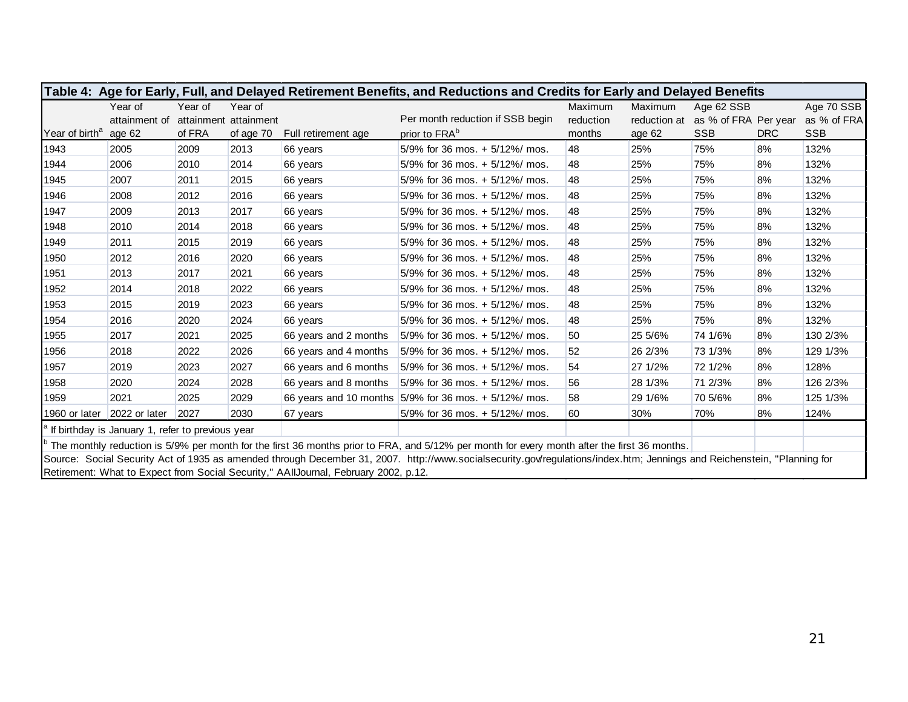|                            | Table 4: Age for Early, Full, and Delayed Retirement Benefits, and Reductions and Credits for Early and Delayed Benefits<br>Year of<br>Maximum<br><b>Maximum</b><br>Age 62 SSB<br>Age 70 SSB<br>Year of<br>Year of |        |                       |                                                                                     |                                                                                                                                                                         |           |         |                                   |            |             |  |  |  |  |  |
|----------------------------|--------------------------------------------------------------------------------------------------------------------------------------------------------------------------------------------------------------------|--------|-----------------------|-------------------------------------------------------------------------------------|-------------------------------------------------------------------------------------------------------------------------------------------------------------------------|-----------|---------|-----------------------------------|------------|-------------|--|--|--|--|--|
|                            |                                                                                                                                                                                                                    |        |                       |                                                                                     |                                                                                                                                                                         |           |         |                                   |            |             |  |  |  |  |  |
|                            | attainment of                                                                                                                                                                                                      |        | attainment attainment |                                                                                     | Per month reduction if SSB begin                                                                                                                                        | reduction |         | reduction at as % of FRA Per year |            | as % of FRA |  |  |  |  |  |
| Year of birth <sup>a</sup> | age 62                                                                                                                                                                                                             | of FRA | of age 70             | Full retirement age                                                                 | prior to FRA <sup>b</sup>                                                                                                                                               | months    | age 62  | <b>SSB</b>                        | <b>DRC</b> | <b>SSB</b>  |  |  |  |  |  |
| 1943                       | 2005                                                                                                                                                                                                               | 2009   | 2013                  | 66 years                                                                            | $5/9\%$ for 36 mos. $+5/12\%$ mos.                                                                                                                                      | 48        | 25%     | 75%                               | 8%         | 132%        |  |  |  |  |  |
| 1944                       | 2006                                                                                                                                                                                                               | 2010   | 2014                  | 66 years                                                                            | 5/9% for 36 mos. + 5/12%/ mos.                                                                                                                                          | 48        | 25%     | 75%                               | 8%         | 132%        |  |  |  |  |  |
| 1945                       | 2007                                                                                                                                                                                                               | 2011   | 2015                  | 66 years                                                                            | 5/9% for 36 mos. + 5/12%/ mos.                                                                                                                                          | 48        | 25%     | 75%                               | 8%         | 132%        |  |  |  |  |  |
| 1946                       | 2008                                                                                                                                                                                                               | 2012   | 2016                  | 66 years                                                                            | 5/9% for 36 mos. $+$ 5/12%/ mos.                                                                                                                                        | 48        | 25%     | 75%                               | 8%         | 132%        |  |  |  |  |  |
| 1947                       | 2009                                                                                                                                                                                                               | 2013   | 2017                  | 66 years                                                                            | $5/9\%$ for 36 mos. $+5/12\%$ mos.                                                                                                                                      | 48        | 25%     | 75%                               | 8%         | 132%        |  |  |  |  |  |
| 1948                       | 2010                                                                                                                                                                                                               | 2014   | 2018                  | 66 years                                                                            | $5/9\%$ for 36 mos. $+5/12\%$ mos.                                                                                                                                      | 48        | 25%     | 75%                               | 8%         | 132%        |  |  |  |  |  |
| 1949                       | 2011                                                                                                                                                                                                               | 2015   | 2019                  | 66 years                                                                            | $5/9\%$ for 36 mos. $+5/12\%$ mos.                                                                                                                                      | 48        | 25%     | 75%                               | 8%         | 132%        |  |  |  |  |  |
| 1950                       | 2012                                                                                                                                                                                                               | 2016   | 2020                  | 66 years                                                                            | $5/9\%$ for 36 mos. $+5/12\%$ mos.                                                                                                                                      | 48        | 25%     | 75%                               | 8%         | 132%        |  |  |  |  |  |
| 1951                       | 2013                                                                                                                                                                                                               | 2017   | 2021                  | 66 years                                                                            | 5/9% for 36 mos. $+$ 5/12%/ mos.                                                                                                                                        | 48        | 25%     | 75%                               | 8%         | 132%        |  |  |  |  |  |
| 1952                       | 2014                                                                                                                                                                                                               | 2018   | 2022                  | 66 years                                                                            | 5/9% for 36 mos. $+$ 5/12%/ mos.                                                                                                                                        | 48        | 25%     | 75%                               | 8%         | 132%        |  |  |  |  |  |
| 1953                       | 2015                                                                                                                                                                                                               | 2019   | 2023                  | 66 years                                                                            | $5/9\%$ for 36 mos. $+5/12\%$ mos.                                                                                                                                      | 48        | 25%     | 75%                               | 8%         | 132%        |  |  |  |  |  |
| 1954                       | 2016                                                                                                                                                                                                               | 2020   | 2024                  | 66 years                                                                            | 5/9% for 36 mos. + 5/12%/ mos.                                                                                                                                          | 48        | 25%     | 75%                               | 8%         | 132%        |  |  |  |  |  |
| 1955                       | 2017                                                                                                                                                                                                               | 2021   | 2025                  | 66 years and 2 months                                                               | 5/9% for 36 mos. + 5/12%/ mos.                                                                                                                                          | 50        | 25 5/6% | 74 1/6%                           | 8%         | 130 2/3%    |  |  |  |  |  |
| 1956                       | 2018                                                                                                                                                                                                               | 2022   | 2026                  | 66 years and 4 months                                                               | 5/9% for 36 mos. $+$ 5/12%/ mos.                                                                                                                                        | 52        | 26 2/3% | 73 1/3%                           | 8%         | 129 1/3%    |  |  |  |  |  |
| 1957                       | 2019                                                                                                                                                                                                               | 2023   | 2027                  | 66 years and 6 months                                                               | 5/9% for 36 mos. + 5/12%/ mos.                                                                                                                                          | 54        | 27 1/2% | 72 1/2%                           | 8%         | 128%        |  |  |  |  |  |
| 1958                       | 2020                                                                                                                                                                                                               | 2024   | 2028                  | 66 years and 8 months                                                               | 5/9% for 36 mos. + 5/12%/ mos.                                                                                                                                          | 56        | 28 1/3% | 71 2/3%                           | 8%         | 126 2/3%    |  |  |  |  |  |
| 1959                       | 2021                                                                                                                                                                                                               | 2025   | 2029                  |                                                                                     | 66 years and 10 months 5/9% for 36 mos. + 5/12%/ mos.                                                                                                                   | 58        | 29 1/6% | 70 5/6%                           | 8%         | 125 1/3%    |  |  |  |  |  |
| 1960 or later              | 2022 or later                                                                                                                                                                                                      | 2027   | 2030                  | 67 years                                                                            | 5/9% for 36 mos. + 5/12%/ mos.                                                                                                                                          | 60        | 30%     | 70%                               | 8%         | 124%        |  |  |  |  |  |
|                            | <sup>a</sup> If birthday is January 1, refer to previous year                                                                                                                                                      |        |                       |                                                                                     |                                                                                                                                                                         |           |         |                                   |            |             |  |  |  |  |  |
|                            |                                                                                                                                                                                                                    |        |                       |                                                                                     | The monthly reduction is 5/9% per month for the first 36 months prior to FRA, and 5/12% per month for every month after the first 36 months.                            |           |         |                                   |            |             |  |  |  |  |  |
|                            |                                                                                                                                                                                                                    |        |                       |                                                                                     | Source: Social Security Act of 1935 as amended through December 31, 2007. http://www.socialsecurity.gov/regulations/index.htm; Jennings and Reichenstein, "Planning for |           |         |                                   |            |             |  |  |  |  |  |
|                            |                                                                                                                                                                                                                    |        |                       | Retirement: What to Expect from Social Security," AAIIJournal, February 2002, p.12. |                                                                                                                                                                         |           |         |                                   |            |             |  |  |  |  |  |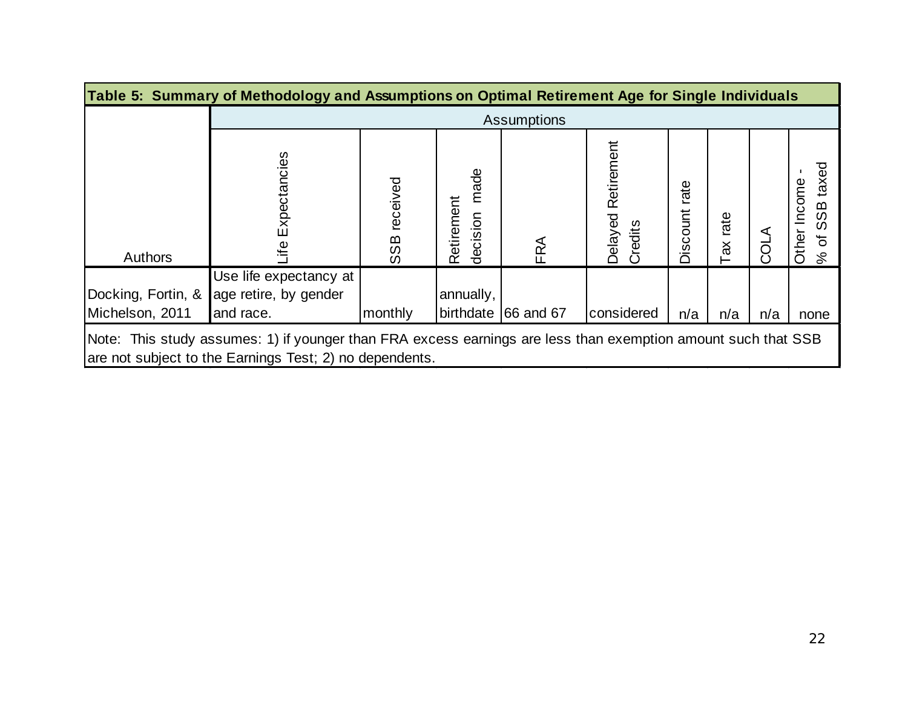|                    | Table 5: Summary of Methodology and Assumptions on Optimal Retirement Age for Single Individuals                                                                         |                 |                                |                     |                               |                  |           |     |                                                 |
|--------------------|--------------------------------------------------------------------------------------------------------------------------------------------------------------------------|-----------------|--------------------------------|---------------------|-------------------------------|------------------|-----------|-----|-------------------------------------------------|
|                    |                                                                                                                                                                          |                 |                                | Assumptions         |                               |                  |           |     |                                                 |
| Authors            | Expectancies<br>≅                                                                                                                                                        | received<br>SSB | made<br>Retirement<br>decision | $\approx$           | Delayed Retirement<br>Credits | rate<br>Discount | rate<br>న | ಕ್ಷ | taxed<br>ome<br>മ<br>ഗ<br>ഗ<br>Other<br>'ਠ<br>೩ |
|                    | Use life expectancy at                                                                                                                                                   |                 |                                |                     |                               |                  |           |     |                                                 |
| Docking, Fortin, & | age retire, by gender                                                                                                                                                    |                 | annually,                      |                     |                               |                  |           |     |                                                 |
| Michelson, 2011    | and race.                                                                                                                                                                | monthly         |                                | birthdate 66 and 67 | considered                    | n/a              | n/a       | n/a | none                                            |
|                    | Note: This study assumes: 1) if younger than FRA excess earnings are less than exemption amount such that SSB<br>are not subject to the Earnings Test; 2) no dependents. |                 |                                |                     |                               |                  |           |     |                                                 |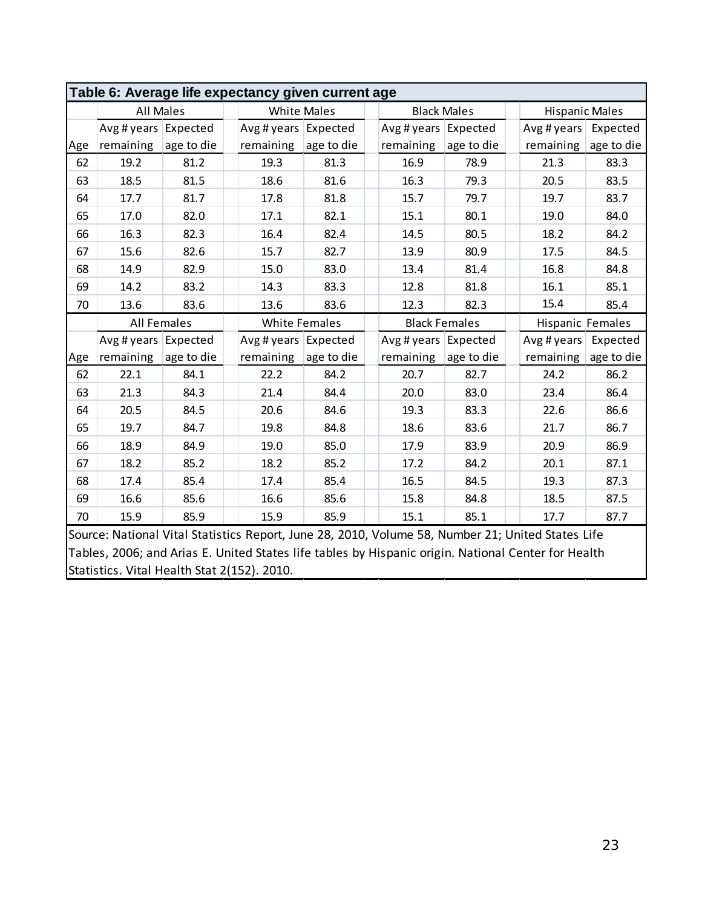|     | Table 6: Average life expectancy given current age<br><b>All Males</b><br><b>White Males</b><br><b>Black Males</b> |            |  |                              |            |  |                      |            |  |                                                                                                     |            |  |  |  |
|-----|--------------------------------------------------------------------------------------------------------------------|------------|--|------------------------------|------------|--|----------------------|------------|--|-----------------------------------------------------------------------------------------------------|------------|--|--|--|
|     |                                                                                                                    |            |  |                              |            |  |                      |            |  | <b>Hispanic Males</b>                                                                               |            |  |  |  |
|     | Avg # years $\vert$ Expected                                                                                       |            |  | Avg # years Expected         |            |  | Avg # years Expected |            |  | $Avg$ # years                                                                                       | Expected   |  |  |  |
| Age | remaining                                                                                                          | age to die |  | remaining                    | age to die |  | remaining            | age to die |  | remaining $ $                                                                                       | age to die |  |  |  |
| 62  | 19.2                                                                                                               | 81.2       |  | 19.3                         | 81.3       |  | 16.9                 | 78.9       |  | 21.3                                                                                                | 83.3       |  |  |  |
| 63  | 18.5                                                                                                               | 81.5       |  | 18.6                         | 81.6       |  | 16.3                 | 79.3       |  | 20.5                                                                                                | 83.5       |  |  |  |
| 64  | 17.7                                                                                                               | 81.7       |  | 17.8                         | 81.8       |  | 15.7                 | 79.7       |  | 19.7                                                                                                | 83.7       |  |  |  |
| 65  | 17.0                                                                                                               | 82.0       |  | 17.1                         | 82.1       |  | 15.1                 | 80.1       |  | 19.0                                                                                                | 84.0       |  |  |  |
| 66  | 16.3                                                                                                               | 82.3       |  | 16.4                         | 82.4       |  | 14.5                 | 80.5       |  | 18.2                                                                                                | 84.2       |  |  |  |
| 67  | 15.6                                                                                                               | 82.6       |  | 15.7                         | 82.7       |  | 13.9                 | 80.9       |  | 17.5                                                                                                | 84.5       |  |  |  |
| 68  | 14.9                                                                                                               | 82.9       |  | 15.0                         | 83.0       |  | 13.4                 | 81.4       |  | 16.8                                                                                                | 84.8       |  |  |  |
| 69  | 14.2                                                                                                               | 83.2       |  | 14.3                         | 83.3       |  | 12.8                 | 81.8       |  | 16.1                                                                                                | 85.1       |  |  |  |
| 70  | 13.6                                                                                                               | 83.6       |  | 13.6                         | 83.6       |  | 12.3                 | 82.3       |  | 15.4                                                                                                | 85.4       |  |  |  |
|     | <b>All Females</b>                                                                                                 |            |  | <b>White Females</b>         |            |  | <b>Black Females</b> |            |  | <b>Hispanic Females</b>                                                                             |            |  |  |  |
|     | Avg # years $\vert$ Expected                                                                                       |            |  | Avg # years $\vert$ Expected |            |  | Avg # years Expected |            |  | $Avg$ # years                                                                                       | Expected   |  |  |  |
| Age | remaining                                                                                                          | age to die |  | remaining                    | age to die |  | remaining            | age to die |  | remaining                                                                                           | age to die |  |  |  |
| 62  | 22.1                                                                                                               | 84.1       |  | 22.2                         | 84.2       |  | 20.7                 | 82.7       |  | 24.2                                                                                                | 86.2       |  |  |  |
| 63  | 21.3                                                                                                               | 84.3       |  | 21.4                         | 84.4       |  | 20.0                 | 83.0       |  | 23.4                                                                                                | 86.4       |  |  |  |
| 64  | 20.5                                                                                                               | 84.5       |  | 20.6                         | 84.6       |  | 19.3                 | 83.3       |  | 22.6                                                                                                | 86.6       |  |  |  |
| 65  | 19.7                                                                                                               | 84.7       |  | 19.8                         | 84.8       |  | 18.6                 | 83.6       |  | 21.7                                                                                                | 86.7       |  |  |  |
| 66  | 18.9                                                                                                               | 84.9       |  | 19.0                         | 85.0       |  | 17.9                 | 83.9       |  | 20.9                                                                                                | 86.9       |  |  |  |
| 67  | 18.2                                                                                                               | 85.2       |  | 18.2                         | 85.2       |  | 17.2                 | 84.2       |  | 20.1                                                                                                | 87.1       |  |  |  |
| 68  | 17.4                                                                                                               | 85.4       |  | 17.4                         | 85.4       |  | 16.5                 | 84.5       |  | 19.3                                                                                                | 87.3       |  |  |  |
| 69  | 16.6                                                                                                               | 85.6       |  | 16.6                         | 85.6       |  | 15.8                 | 84.8       |  | 18.5                                                                                                | 87.5       |  |  |  |
| 70  | 15.9<br>85.9<br>15.9<br>85.9<br>85.1<br>15.1<br>17.7<br>87.7                                                       |            |  |                              |            |  |                      |            |  |                                                                                                     |            |  |  |  |
|     | Source: National Vital Statistics Report, June 28, 2010, Volume 58, Number 21; United States Life                  |            |  |                              |            |  |                      |            |  | Tobles, 2006; and Arias E. Haitad Ctotse life tobles builliances origin. Notional Contextor Haolth. |            |  |  |  |

Tables, 2006; and Arias E. United States life tables by Hispanic origin. National Center for Health Statistics. Vital Health Stat 2(152). 2010.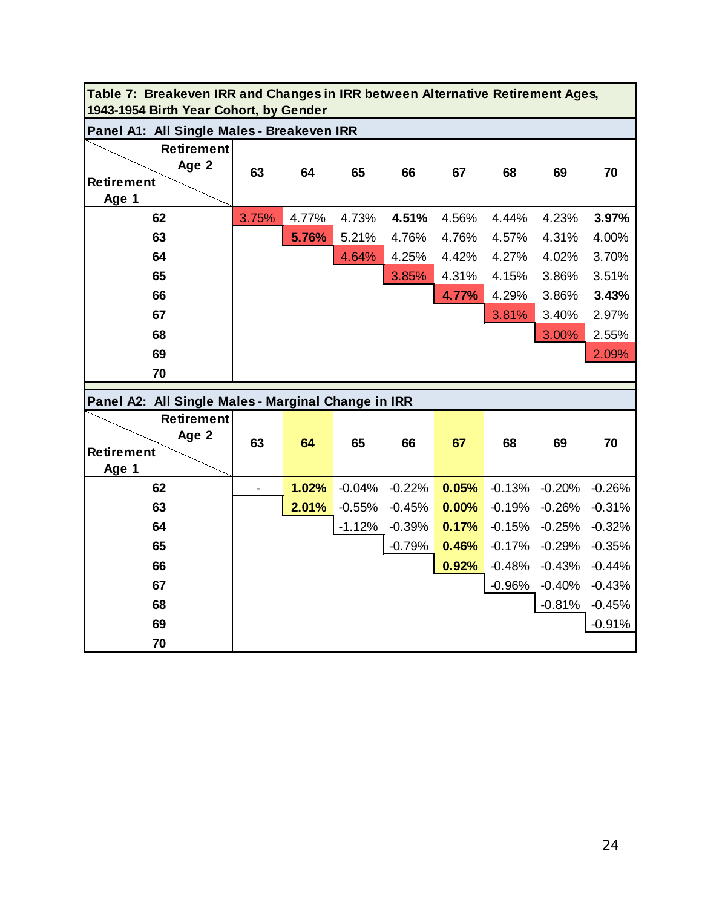| Table 7: Breakeven IRR and Changes in IRR between Alternative Retirement Ages,<br>1943-1954 Birth Year Cohort, by Gender |                          |       |          |          |       |          |          |          |  |  |  |  |  |
|--------------------------------------------------------------------------------------------------------------------------|--------------------------|-------|----------|----------|-------|----------|----------|----------|--|--|--|--|--|
| Panel A1: All Single Males - Breakeven IRR                                                                               |                          |       |          |          |       |          |          |          |  |  |  |  |  |
| <b>Retirement</b><br>Age 2<br><b>Retirement</b><br>Age 1                                                                 | 63                       | 64    | 65       | 66       | 67    | 68       | 69       | 70       |  |  |  |  |  |
| 62                                                                                                                       | 3.75%                    | 4.77% | 4.73%    | 4.51%    | 4.56% | 4.44%    | 4.23%    | 3.97%    |  |  |  |  |  |
| 63                                                                                                                       |                          | 5.76% | 5.21%    | 4.76%    | 4.76% | 4.57%    | 4.31%    | 4.00%    |  |  |  |  |  |
| 64                                                                                                                       |                          |       | 4.64%    | 4.25%    | 4.42% | 4.27%    | 4.02%    | 3.70%    |  |  |  |  |  |
| 65                                                                                                                       |                          |       |          | 3.85%    | 4.31% | 4.15%    | 3.86%    | 3.51%    |  |  |  |  |  |
| 66                                                                                                                       |                          |       |          |          | 4.77% | 4.29%    | 3.86%    | 3.43%    |  |  |  |  |  |
| 67                                                                                                                       |                          |       |          |          |       | 3.81%    | 3.40%    | 2.97%    |  |  |  |  |  |
| 68                                                                                                                       |                          |       |          |          |       |          | 3.00%    | 2.55%    |  |  |  |  |  |
| 69                                                                                                                       |                          |       |          |          |       |          |          | 2.09%    |  |  |  |  |  |
|                                                                                                                          |                          |       |          |          |       |          |          |          |  |  |  |  |  |
| 70                                                                                                                       |                          |       |          |          |       |          |          |          |  |  |  |  |  |
| Panel A2: All Single Males - Marginal Change in IRR                                                                      |                          |       |          |          |       |          |          |          |  |  |  |  |  |
| <b>Retirement</b><br>Age 2<br><b>Retirement</b>                                                                          | 63                       | 64    | 65       | 66       | 67    | 68       | 69       | 70       |  |  |  |  |  |
| Age 1<br>62                                                                                                              | $\overline{\phantom{a}}$ | 1.02% | $-0.04%$ | $-0.22%$ | 0.05% | $-0.13%$ | $-0.20%$ | $-0.26%$ |  |  |  |  |  |
| 63                                                                                                                       |                          | 2.01% | $-0.55%$ | $-0.45%$ | 0.00% | $-0.19%$ | $-0.26%$ | $-0.31%$ |  |  |  |  |  |
| 64                                                                                                                       |                          |       | $-1.12%$ | $-0.39%$ | 0.17% | $-0.15%$ | $-0.25%$ | $-0.32%$ |  |  |  |  |  |
| 65                                                                                                                       |                          |       |          | $-0.79%$ | 0.46% | $-0.17%$ | $-0.29%$ | $-0.35%$ |  |  |  |  |  |
| 66                                                                                                                       |                          |       |          |          | 0.92% | $-0.48%$ | $-0.43%$ | $-0.44%$ |  |  |  |  |  |
| 67                                                                                                                       |                          |       |          |          |       | $-0.96%$ | $-0.40%$ | $-0.43%$ |  |  |  |  |  |
| 68                                                                                                                       |                          |       |          |          |       |          | $-0.81%$ | $-0.45%$ |  |  |  |  |  |
| 69                                                                                                                       |                          |       |          |          |       |          |          | $-0.91%$ |  |  |  |  |  |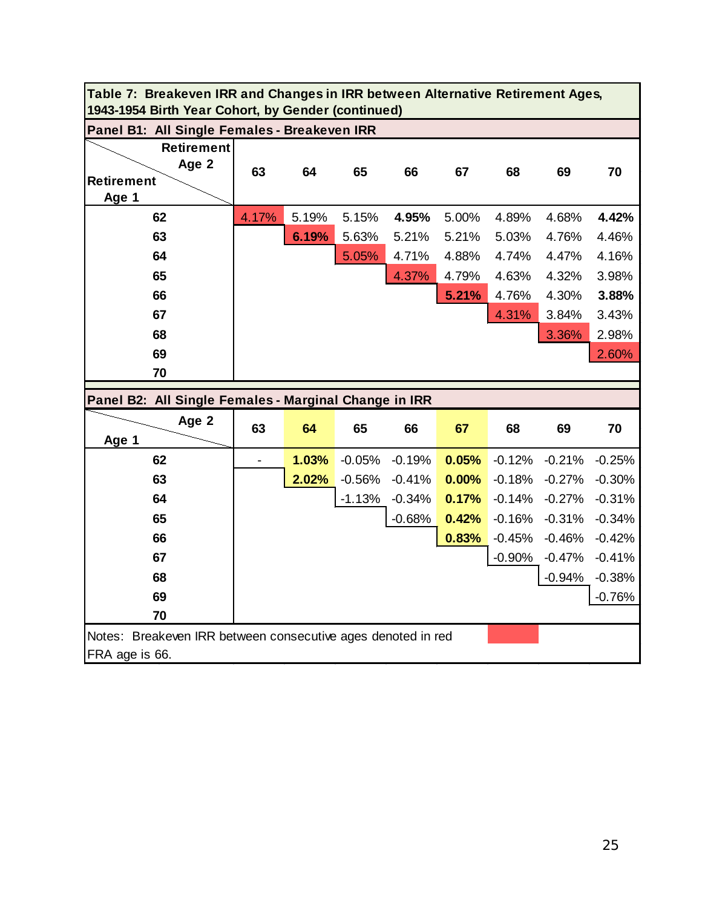| Table 7: Breakeven IRR and Changes in IRR between Alternative Retirement Ages,<br>1943-1954 Birth Year Cohort, by Gender (continued) |                |       |          |          |       |          |          |          |  |  |  |  |  |
|--------------------------------------------------------------------------------------------------------------------------------------|----------------|-------|----------|----------|-------|----------|----------|----------|--|--|--|--|--|
| Panel B1: All Single Females - Breakeven IRR                                                                                         |                |       |          |          |       |          |          |          |  |  |  |  |  |
| <b>Retirement</b><br>Age 2<br><b>Retirement</b><br>Age 1                                                                             | 63             | 64    | 65       | 66       | 67    | 68       | 69       | 70       |  |  |  |  |  |
| 62                                                                                                                                   | 4.17%          | 5.19% | 5.15%    | 4.95%    | 5.00% | 4.89%    | 4.68%    | 4.42%    |  |  |  |  |  |
| 63                                                                                                                                   |                | 6.19% | 5.63%    | 5.21%    | 5.21% | 5.03%    | 4.76%    | 4.46%    |  |  |  |  |  |
| 64                                                                                                                                   |                |       | 5.05%    | 4.71%    | 4.88% | 4.74%    | 4.47%    | 4.16%    |  |  |  |  |  |
| 65                                                                                                                                   |                |       |          | 4.37%    | 4.79% | 4.63%    | 4.32%    | 3.98%    |  |  |  |  |  |
| 66                                                                                                                                   |                |       |          |          | 5.21% | 4.76%    | 4.30%    | 3.88%    |  |  |  |  |  |
| 67                                                                                                                                   |                |       |          |          |       | 4.31%    | 3.84%    | 3.43%    |  |  |  |  |  |
| 68                                                                                                                                   |                |       |          |          |       |          | 3.36%    | 2.98%    |  |  |  |  |  |
| 69                                                                                                                                   |                |       |          |          |       |          |          | 2.60%    |  |  |  |  |  |
| 70                                                                                                                                   |                |       |          |          |       |          |          |          |  |  |  |  |  |
| Panel B2: All Single Females - Marginal Change in IRR                                                                                |                |       |          |          |       |          |          |          |  |  |  |  |  |
| Age 2                                                                                                                                | 63             | 64    | 65       |          | 67    |          |          | 70       |  |  |  |  |  |
|                                                                                                                                      |                |       |          | 66       |       | 68       | 69       |          |  |  |  |  |  |
| Age 1<br>62                                                                                                                          | $\blacksquare$ | 1.03% | $-0.05%$ | $-0.19%$ | 0.05% | $-0.12%$ | $-0.21%$ | $-0.25%$ |  |  |  |  |  |
| 63                                                                                                                                   |                | 2.02% | $-0.56%$ | $-0.41%$ | 0.00% | $-0.18%$ | $-0.27%$ | $-0.30%$ |  |  |  |  |  |
| 64                                                                                                                                   |                |       | $-1.13%$ | $-0.34%$ | 0.17% | $-0.14%$ | $-0.27%$ | $-0.31%$ |  |  |  |  |  |
| 65                                                                                                                                   |                |       |          | $-0.68%$ | 0.42% | $-0.16%$ | $-0.31%$ | $-0.34%$ |  |  |  |  |  |
| 66                                                                                                                                   |                |       |          |          | 0.83% | $-0.45%$ | $-0.46%$ | $-0.42%$ |  |  |  |  |  |
| 67                                                                                                                                   |                |       |          |          |       | $-0.90%$ | $-0.47%$ | $-0.41%$ |  |  |  |  |  |
| 68                                                                                                                                   |                |       |          |          |       |          | $-0.94%$ | $-0.38%$ |  |  |  |  |  |
| 69                                                                                                                                   |                |       |          |          |       |          |          | $-0.76%$ |  |  |  |  |  |
| 70                                                                                                                                   |                |       |          |          |       |          |          |          |  |  |  |  |  |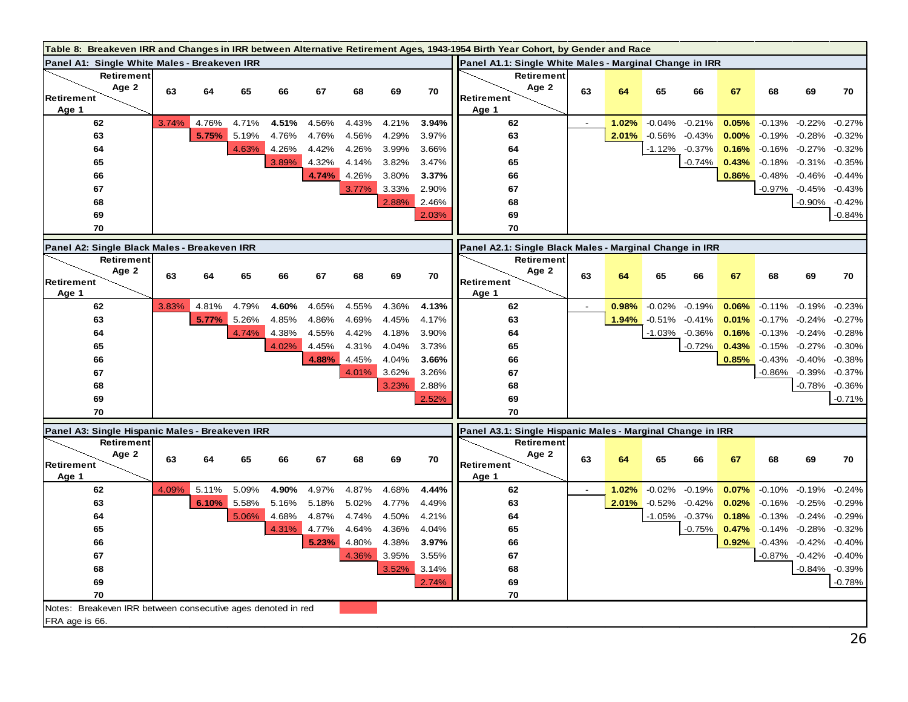|                                                              |       |       |       |       |       |       |       |       | Table 8: Breakeven IRR and Changes in IRR between Alternative Retirement Ages, 1943-1954 Birth Year Cohort, by Gender and Race |                          |       |          |          |       |          |          |          |
|--------------------------------------------------------------|-------|-------|-------|-------|-------|-------|-------|-------|--------------------------------------------------------------------------------------------------------------------------------|--------------------------|-------|----------|----------|-------|----------|----------|----------|
| Panel A1: Single White Males - Breakeven IRR                 |       |       |       |       |       |       |       |       | Panel A1.1: Single White Males - Marginal Change in IRR                                                                        |                          |       |          |          |       |          |          |          |
| Retirement<br>Age 2<br>Retirement<br>Age 1                   | 63    | 64    | 65    | 66    | 67    | 68    | 69    | 70    | Retirement<br>Age 2<br>Retirement<br>Age 1                                                                                     | 63                       | 64    | 65       | 66       | 67    | 68       | 69       | 70       |
| 62                                                           | 3.74% | 4.76% | 4.71% | 4.51% | 4.56% | 4.43% | 4.21% | 3.94% | 62                                                                                                                             | $\sim$                   | 1.02% | $-0.04%$ | $-0.21%$ | 0.05% | $-0.13%$ | $-0.22%$ | $-0.27%$ |
| 63                                                           |       | 5.75% | 5.19% | 4.76% | 4.76% | 4.56% | 4.29% | 3.97% | 63                                                                                                                             |                          | 2.01% | $-0.56%$ | $-0.43%$ | 0.00% | $-0.19%$ | $-0.28%$ | $-0.32%$ |
| 64                                                           |       |       | 4.63% | 4.26% | 4.42% | 4.26% | 3.99% | 3.66% | 64                                                                                                                             |                          |       | $-1.12%$ | $-0.37%$ | 0.16% | $-0.16%$ | $-0.27%$ | $-0.32%$ |
| 65                                                           |       |       |       | 3.89% | 4.32% | 4.14% | 3.82% | 3.47% | 65                                                                                                                             |                          |       |          | $-0.74%$ | 0.43% | $-0.18%$ | $-0.31%$ | $-0.35%$ |
| 66                                                           |       |       |       |       | 4.74% | 4.26% | 3.80% | 3.37% | 66                                                                                                                             |                          |       |          |          | 0.86% | $-0.48%$ | $-0.46%$ | $-0.44%$ |
| 67                                                           |       |       |       |       |       | 3.77% | 3.33% | 2.90% | 67                                                                                                                             |                          |       |          |          |       | $-0.97%$ | $-0.45%$ | $-0.43%$ |
| 68                                                           |       |       |       |       |       |       | 2.88% | 2.46% | 68                                                                                                                             |                          |       |          |          |       |          | $-0.90%$ | $-0.42%$ |
| 69                                                           |       |       |       |       |       |       |       | 2.03% | 69                                                                                                                             |                          |       |          |          |       |          |          | $-0.84%$ |
| 70                                                           |       |       |       |       |       |       |       |       | 70                                                                                                                             |                          |       |          |          |       |          |          |          |
| Panel A2: Single Black Males - Breakeven IRR                 |       |       |       |       |       |       |       |       | Panel A2.1: Single Black Males - Marginal Change in IRR                                                                        |                          |       |          |          |       |          |          |          |
| <b>Retirement</b>                                            |       |       |       |       |       |       |       |       | <b>Retirement</b>                                                                                                              |                          |       |          |          |       |          |          |          |
| Age 2<br>Retirement<br>Age 1                                 | 63    | 64    | 65    | 66    | 67    | 68    | 69    | 70    | Age 2<br>Retirement<br>Age 1                                                                                                   | 63                       | 64    | 65       | 66       | 67    | 68       | 69       | 70       |
| 62                                                           | 3.83% | 4.81% | 4.79% | 4.60% | 4.65% | 4.55% | 4.36% | 4.13% | 62                                                                                                                             |                          | 0.98% | $-0.02%$ | $-0.19%$ | 0.06% | $-0.11%$ | $-0.19%$ | $-0.23%$ |
| 63                                                           |       | 5.77% | 5.26% | 4.85% | 4.86% | 4.69% | 4.45% | 4.17% | 63                                                                                                                             |                          | 1.94% | $-0.51%$ | $-0.41%$ | 0.01% | $-0.17%$ | $-0.24%$ | $-0.27%$ |
| 64                                                           |       |       | 4.74% | 4.38% | 4.55% | 4.42% | 4.18% | 3.90% | 64                                                                                                                             |                          |       | -1.03%   | $-0.36%$ | 0.16% | $-0.13%$ | $-0.24%$ | $-0.28%$ |
| 65                                                           |       |       |       | 4.02% | 4.45% | 4.31% | 4.04% | 3.73% | 65                                                                                                                             |                          |       |          | $-0.72%$ | 0.43% | $-0.15%$ | $-0.27%$ | $-0.30%$ |
| 66                                                           |       |       |       |       | 4.88% | 4.45% | 4.04% | 3.66% | 66                                                                                                                             |                          |       |          |          | 0.85% | $-0.43%$ | $-0.40%$ | $-0.38%$ |
| 67                                                           |       |       |       |       |       | 4.01% | 3.62% | 3.26% | 67                                                                                                                             |                          |       |          |          |       | -0.86%   | $-0.39%$ | $-0.37%$ |
| 68                                                           |       |       |       |       |       |       | 3.23% | 2.88% | 68                                                                                                                             |                          |       |          |          |       |          | $-0.78%$ | $-0.36%$ |
| 69                                                           |       |       |       |       |       |       |       | 2.52% | 69                                                                                                                             |                          |       |          |          |       |          |          | $-0.71%$ |
| 70                                                           |       |       |       |       |       |       |       |       | 70                                                                                                                             |                          |       |          |          |       |          |          |          |
| Panel A3: Single Hispanic Males - Breakeven IRR              |       |       |       |       |       |       |       |       | Panel A3.1: Single Hispanic Males - Marginal Change in IRR                                                                     |                          |       |          |          |       |          |          |          |
| <b>Retirement</b>                                            |       |       |       |       |       |       |       |       | Retirement                                                                                                                     |                          |       |          |          |       |          |          |          |
| Age 2<br>Retirement<br>Age 1                                 | 63    | 64    | 65    | 66    | 67    | 68    | 69    | 70    | Age 2<br>Retirement<br>Age 1                                                                                                   | 63                       | 64    | 65       | 66       | 67    | 68       | 69       | 70       |
| 62                                                           | 4.09% | 5.11% | 5.09% | 4.90% | 4.97% | 4.87% | 4.68% | 4.44% | 62                                                                                                                             | $\overline{\phantom{a}}$ | 1.02% | $-0.02%$ | $-0.19%$ | 0.07% | $-0.10%$ | $-0.19%$ | $-0.24%$ |
| 63                                                           |       | 6.10% | 5.58% | 5.16% | 5.18% | 5.02% | 4.77% | 4.49% | 63                                                                                                                             |                          | 2.01% | $-0.52%$ | $-0.42%$ | 0.02% | $-0.16%$ | $-0.25%$ | $-0.29%$ |
| 64                                                           |       |       | 5.06% | 4.68% | 4.87% | 4.74% | 4.50% | 4.21% | 64                                                                                                                             |                          |       | $-1.05%$ | $-0.37%$ | 0.18% | $-0.13%$ | $-0.24%$ | $-0.29%$ |
| 65                                                           |       |       |       | 4.31% | 4.77% | 4.64% | 4.36% | 4.04% | 65                                                                                                                             |                          |       |          | $-0.75%$ | 0.47% | $-0.14%$ | $-0.28%$ | $-0.32%$ |
| 66                                                           |       |       |       |       | 5.23% | 4.80% | 4.38% | 3.97% | 66                                                                                                                             |                          |       |          |          | 0.92% | $-0.43%$ | $-0.42%$ | $-0.40%$ |
| 67                                                           |       |       |       |       |       | 4.36% | 3.95% | 3.55% | 67                                                                                                                             |                          |       |          |          |       | $-0.87%$ | $-0.42%$ | $-0.40%$ |
| 68                                                           |       |       |       |       |       |       | 3.52% | 3.14% | 68                                                                                                                             |                          |       |          |          |       |          | $-0.84%$ | $-0.39%$ |
| 69                                                           |       |       |       |       |       |       |       | 2.74% | 69                                                                                                                             |                          |       |          |          |       |          |          | $-0.78%$ |
| 70                                                           |       |       |       |       |       |       |       |       | 70                                                                                                                             |                          |       |          |          |       |          |          |          |
| Notes: Breakeven IRR between consecutive ages denoted in red |       |       |       |       |       |       |       |       |                                                                                                                                |                          |       |          |          |       |          |          |          |
| FRA age is 66.                                               |       |       |       |       |       |       |       |       |                                                                                                                                |                          |       |          |          |       |          |          |          |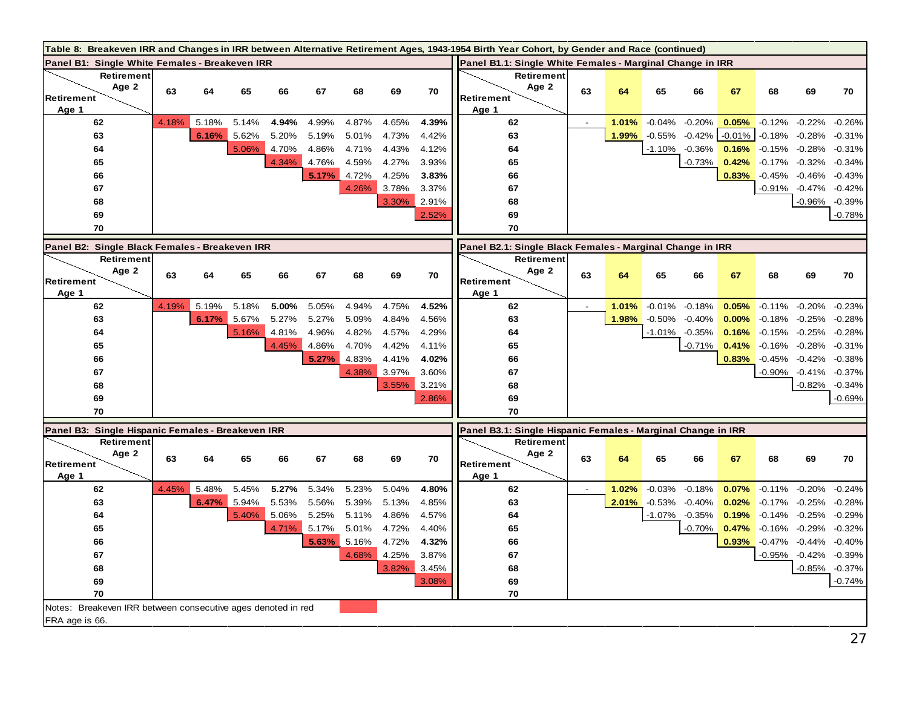|                                                              |       |       |       |       |       |       | Table 8: Breakeven IRR and Changes in IRR between Alternative Retirement Ages, 1943-1954 Birth Year Cohort, by Gender and Race (continued) |       |                                                              |                          |       |                 |          |          |          |          |          |
|--------------------------------------------------------------|-------|-------|-------|-------|-------|-------|--------------------------------------------------------------------------------------------------------------------------------------------|-------|--------------------------------------------------------------|--------------------------|-------|-----------------|----------|----------|----------|----------|----------|
| Panel B1: Single White Females - Breakeven IRR               |       |       |       |       |       |       |                                                                                                                                            |       | Panel B1.1: Single White Females - Marginal Change in IRR    |                          |       |                 |          |          |          |          |          |
| Retirement                                                   |       |       |       |       |       |       |                                                                                                                                            |       | Retirement                                                   |                          |       |                 |          |          |          |          |          |
| Age 2<br>Retirement<br>Age 1                                 | 63    | 64    | 65    | 66    | 67    | 68    | 69                                                                                                                                         | 70    | Age 2<br>Retirement<br>Age 1                                 | 63                       | 64    | 65              | 66       | 67       | 68       | 69       | 70       |
| 62                                                           | 4.18% | 5.18% | 5.14% | 4.94% | 4.99% | 4.87% | 4.65%                                                                                                                                      | 4.39% | 62                                                           | ÷,                       | 1.01% | $-0.04%$        | $-0.20%$ | 0.05%    | $-0.12%$ | $-0.22%$ | $-0.26%$ |
| 63                                                           |       | 6.16% | 5.62% | 5.20% | 5.19% | 5.01% | 4.73%                                                                                                                                      | 4.42% | 63                                                           |                          | 1.99% | $-0.55%$        | $-0.42%$ | $-0.01%$ | $-0.18%$ | $-0.28%$ | $-0.31%$ |
| 64                                                           |       |       | 5.06% | 4.70% | 4.86% | 4.71% | 4.43%                                                                                                                                      | 4.12% | 64                                                           |                          |       | $-1.10%$        | $-0.36%$ | 0.16%    | $-0.15%$ | $-0.28%$ | $-0.31%$ |
| 65                                                           |       |       |       | 4.34% | 4.76% | 4.59% | 4.27%                                                                                                                                      | 3.93% | 65                                                           |                          |       |                 | $-0.73%$ | 0.42%    | $-0.17%$ | $-0.32%$ | $-0.34%$ |
| 66                                                           |       |       |       |       | 5.17% | 4.72% | 4.25%                                                                                                                                      | 3.83% | 66                                                           |                          |       |                 |          | 0.83%    | $-0.45%$ | $-0.46%$ | $-0.43%$ |
| 67                                                           |       |       |       |       |       | 4.26% | 3.78%                                                                                                                                      | 3.37% | 67                                                           |                          |       |                 |          |          | $-0.91%$ | $-0.47%$ | $-0.42%$ |
| 68                                                           |       |       |       |       |       |       | 3.30%                                                                                                                                      | 2.91% | 68                                                           |                          |       |                 |          |          |          | $-0.96%$ | $-0.39%$ |
| 69                                                           |       |       |       |       |       |       |                                                                                                                                            | 2.52% | 69                                                           |                          |       |                 |          |          |          |          | $-0.78%$ |
| 70                                                           |       |       |       |       |       |       |                                                                                                                                            |       | 70                                                           |                          |       |                 |          |          |          |          |          |
| Panel B2: Single Black Females - Breakeven IRR               |       |       |       |       |       |       |                                                                                                                                            |       | Panel B2.1: Single Black Females - Marginal Change in IRR    |                          |       |                 |          |          |          |          |          |
| Retirement                                                   |       |       |       |       |       |       |                                                                                                                                            |       | <b>Retirement</b>                                            |                          |       |                 |          |          |          |          |          |
| Age 2<br><b>Retirement</b><br>Age 1                          | 63    | 64    | 65    | 66    | 67    | 68    | 69                                                                                                                                         | 70    | Age 2<br>Retirement<br>Age 1                                 | 63                       | 64    | 65              | 66       | 67       | 68       | 69       | 70       |
| 62                                                           | 4.19% | 5.19% | 5.18% | 5.00% | 5.05% | 4.94% | 4.75%                                                                                                                                      | 4.52% | 62                                                           | $\overline{\phantom{a}}$ | 1.01% | $-0.01%$        | $-0.18%$ | 0.05%    | $-0.11%$ | $-0.20%$ | $-0.23%$ |
| 63                                                           |       | 6.17% | 5.67% | 5.27% | 5.27% | 5.09% | 4.84%                                                                                                                                      | 4.56% | 63                                                           |                          | 1.98% | $-0.50%$        | $-0.40%$ | 0.00%    | $-0.18%$ | $-0.25%$ | $-0.28%$ |
| 64                                                           |       |       | 5.16% | 4.81% | 4.96% | 4.82% | 4.57%                                                                                                                                      | 4.29% | 64                                                           |                          |       | $-1.01%$        | $-0.35%$ | 0.16%    | $-0.15%$ | $-0.25%$ | $-0.28%$ |
| 65                                                           |       |       |       | 4.45% | 4.86% | 4.70% | 4.42%                                                                                                                                      | 4.11% | 65                                                           |                          |       |                 | $-0.71%$ | 0.41%    | $-0.16%$ | $-0.28%$ | $-0.31%$ |
| 66                                                           |       |       |       |       | 5.27% | 4.83% | 4.41%                                                                                                                                      | 4.02% | 66                                                           |                          |       |                 |          | 0.83%    | $-0.45%$ | $-0.42%$ | $-0.38%$ |
| 67                                                           |       |       |       |       |       | 4.38% | 3.97%                                                                                                                                      | 3.60% | 67                                                           |                          |       |                 |          |          | -0.90%   | $-0.41%$ | $-0.37%$ |
| 68                                                           |       |       |       |       |       |       | 3.55%                                                                                                                                      | 3.21% | 68                                                           |                          |       |                 |          |          |          | $-0.82%$ | $-0.34%$ |
| 69                                                           |       |       |       |       |       |       |                                                                                                                                            | 2.86% | 69                                                           |                          |       |                 |          |          |          |          | $-0.69%$ |
| 70                                                           |       |       |       |       |       |       |                                                                                                                                            |       | 70                                                           |                          |       |                 |          |          |          |          |          |
| Panel B3: Single Hispanic Females - Breakeven IRR            |       |       |       |       |       |       |                                                                                                                                            |       | Panel B3.1: Single Hispanic Females - Marginal Change in IRR |                          |       |                 |          |          |          |          |          |
| <b>Retirement</b>                                            |       |       |       |       |       |       |                                                                                                                                            |       | <b>Retirement</b>                                            |                          |       |                 |          |          |          |          |          |
| Age 2<br><b>Retirement</b><br>Age 1                          | 63    | 64    | 65    | 66    | 67    | 68    | 69                                                                                                                                         | 70    | Age 2<br>Retirement<br>Age 1                                 | 63                       | 64    | 65              | 66       | 67       | 68       | 69       | 70       |
| 62                                                           | 4.45% | 5.48% | 5.45% | 5.27% | 5.34% | 5.23% | 5.04%                                                                                                                                      | 4.80% | 62                                                           | $\overline{\phantom{a}}$ | 1.02% | $-0.03%$        | $-0.18%$ | 0.07%    | $-0.11%$ | $-0.20%$ | $-0.24%$ |
| 63                                                           |       | 6.47% | 5.94% | 5.53% | 5.56% | 5.39% | 5.13%                                                                                                                                      | 4.85% | 63                                                           |                          |       | $2.01\%$ -0.53% | $-0.40%$ | 0.02%    | $-0.17%$ | $-0.25%$ | $-0.28%$ |
| 64                                                           |       |       | 5.40% | 5.06% | 5.25% | 5.11% | 4.86%                                                                                                                                      | 4.57% | 64                                                           |                          |       | $-1.07%$        | $-0.35%$ | 0.19%    | $-0.14%$ | $-0.25%$ | $-0.29%$ |
| 65                                                           |       |       |       | 4.71% | 5.17% | 5.01% | 4.72%                                                                                                                                      | 4.40% | 65                                                           |                          |       |                 | $-0.70%$ | 0.47%    | $-0.16%$ | $-0.29%$ | $-0.32%$ |
| 66                                                           |       |       |       |       | 5.63% | 5.16% | 4.72%                                                                                                                                      | 4.32% | 66                                                           |                          |       |                 |          | 0.93%    | $-0.47%$ | $-0.44%$ | $-0.40%$ |
| 67                                                           |       |       |       |       |       | 4.68% | 4.25%                                                                                                                                      | 3.87% | 67                                                           |                          |       |                 |          |          | $-0.95%$ | $-0.42%$ | $-0.39%$ |
| 68                                                           |       |       |       |       |       |       | 3.82%                                                                                                                                      | 3.45% | 68                                                           |                          |       |                 |          |          |          | $-0.85%$ | $-0.37%$ |
| 69                                                           |       |       |       |       |       |       |                                                                                                                                            | 3.08% | 69                                                           |                          |       |                 |          |          |          |          | $-0.74%$ |
| 70                                                           |       |       |       |       |       |       |                                                                                                                                            |       | 70                                                           |                          |       |                 |          |          |          |          |          |
| Notes: Breakeven IRR between consecutive ages denoted in red |       |       |       |       |       |       |                                                                                                                                            |       |                                                              |                          |       |                 |          |          |          |          |          |
| FRA age is 66.                                               |       |       |       |       |       |       |                                                                                                                                            |       |                                                              |                          |       |                 |          |          |          |          |          |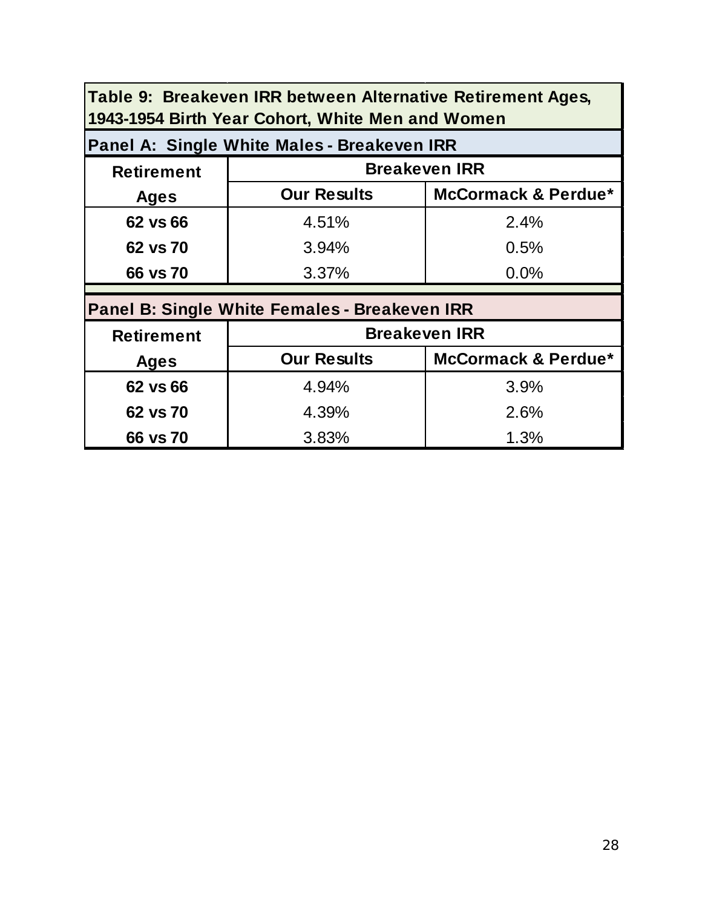| Table 9: Breakeven IRR between Alternative Retirement Ages,<br>1943-1954 Birth Year Cohort, White Men and Women |                                                      |      |  |  |  |  |  |  |
|-----------------------------------------------------------------------------------------------------------------|------------------------------------------------------|------|--|--|--|--|--|--|
| Panel A: Single White Males - Breakeven IRR                                                                     |                                                      |      |  |  |  |  |  |  |
| <b>Retirement</b>                                                                                               | <b>Breakeven IRR</b>                                 |      |  |  |  |  |  |  |
| <b>Ages</b>                                                                                                     | <b>McCormack &amp; Perdue*</b><br><b>Our Results</b> |      |  |  |  |  |  |  |
| 62 vs 66                                                                                                        | 4.51%                                                | 2.4% |  |  |  |  |  |  |
| 62 vs 70                                                                                                        | 3.94%                                                | 0.5% |  |  |  |  |  |  |
| 66 vs 70                                                                                                        | 3.37%                                                | 0.0% |  |  |  |  |  |  |
|                                                                                                                 | Panel B: Single White Females - Breakeven IRR        |      |  |  |  |  |  |  |
| <b>Retirement</b>                                                                                               | <b>Breakeven IRR</b>                                 |      |  |  |  |  |  |  |
| <b>Ages</b>                                                                                                     | <b>McCormack &amp; Perdue*</b>                       |      |  |  |  |  |  |  |
| 62 vs 66                                                                                                        | 4.94%                                                | 3.9% |  |  |  |  |  |  |
| 62 vs 70                                                                                                        | 4.39%                                                | 2.6% |  |  |  |  |  |  |
| 3.83%<br>66 vs 70<br>1.3%                                                                                       |                                                      |      |  |  |  |  |  |  |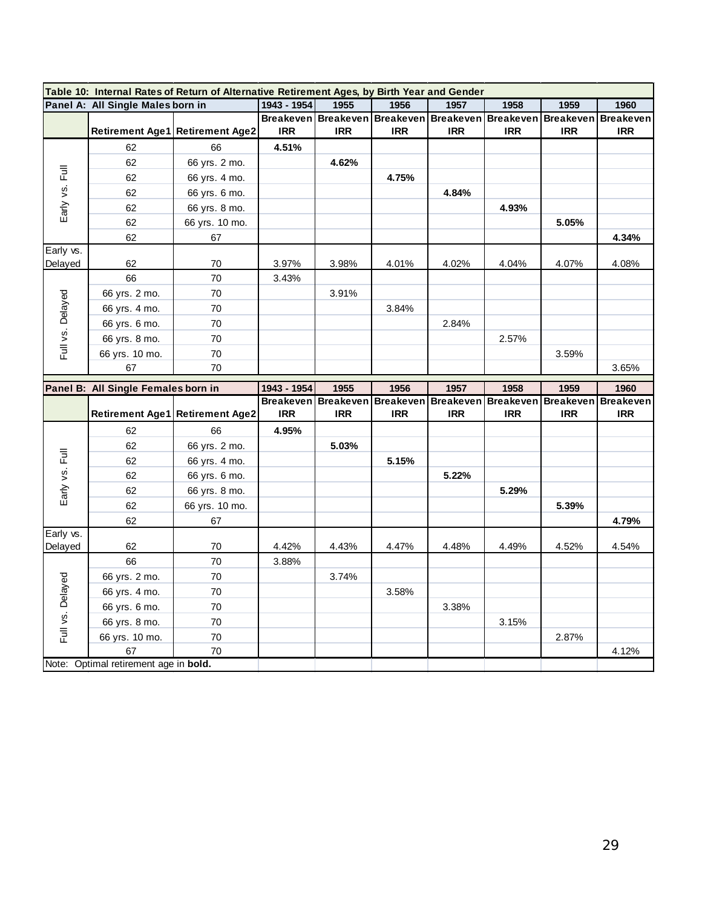| Table 10: Internal Rates of Return of Alternative Retirement Ages, by Birth Year and Gender |                                     |                                        |                                |                                   |                                |                                |                                |                                |                                |  |
|---------------------------------------------------------------------------------------------|-------------------------------------|----------------------------------------|--------------------------------|-----------------------------------|--------------------------------|--------------------------------|--------------------------------|--------------------------------|--------------------------------|--|
|                                                                                             | Panel A: All Single Males born in   | 1943 - 1954                            | 1955                           | 1956                              | 1957                           | 1958                           | 1959                           | 1960                           |                                |  |
|                                                                                             |                                     | <b>Retirement Age1 Retirement Age2</b> | <b>IRR</b>                     | Breakeven Breakeven<br><b>IRR</b> | <b>Breakeven</b><br><b>IRR</b> | <b>Breakeven</b><br><b>IRR</b> | <b>Breakeven</b><br><b>IRR</b> | <b>Breakeven</b><br>IRR        | <b>Breakeven</b><br><b>IRR</b> |  |
|                                                                                             | 62                                  | 66                                     | 4.51%                          |                                   |                                |                                |                                |                                |                                |  |
|                                                                                             | 62                                  | 66 yrs. 2 mo.                          |                                | 4.62%                             |                                |                                |                                |                                |                                |  |
| $\overline{\overline{E}}$                                                                   | 62                                  | 66 yrs. 4 mo.                          |                                |                                   | 4.75%                          |                                |                                |                                |                                |  |
|                                                                                             | 62                                  | 66 yrs. 6 mo.                          |                                |                                   |                                | 4.84%                          |                                |                                |                                |  |
| Early vs.                                                                                   | 62                                  | 66 yrs. 8 mo.                          |                                |                                   |                                |                                | 4.93%                          |                                |                                |  |
|                                                                                             | 62                                  | 66 yrs. 10 mo.                         |                                |                                   |                                |                                |                                | 5.05%                          |                                |  |
|                                                                                             | 62                                  | 67                                     |                                |                                   |                                |                                |                                |                                | 4.34%                          |  |
| Early vs.<br>Delayed                                                                        |                                     |                                        | 3.97%                          |                                   |                                |                                |                                |                                |                                |  |
|                                                                                             | 62<br>66                            | 70<br>70                               |                                | 3.98%                             | 4.01%                          | 4.02%                          | 4.04%                          | 4.07%                          | 4.08%                          |  |
|                                                                                             | 66 yrs. 2 mo.                       | 70                                     | 3.43%                          | 3.91%                             |                                |                                |                                |                                |                                |  |
|                                                                                             |                                     | 70                                     |                                |                                   | 3.84%                          |                                |                                |                                |                                |  |
|                                                                                             | 66 yrs. 4 mo.<br>66 yrs. 6 mo.      | 70                                     |                                |                                   |                                |                                |                                |                                |                                |  |
| Full vs. Delayed                                                                            |                                     | 70                                     |                                |                                   |                                | 2.84%                          |                                |                                |                                |  |
|                                                                                             | 66 yrs. 8 mo.<br>66 yrs. 10 mo.     | 70                                     |                                |                                   |                                |                                | 2.57%                          |                                |                                |  |
|                                                                                             | 67                                  | 70                                     |                                |                                   |                                |                                |                                | 3.59%                          | 3.65%                          |  |
|                                                                                             |                                     |                                        |                                |                                   |                                |                                |                                |                                |                                |  |
|                                                                                             |                                     |                                        |                                |                                   |                                |                                |                                |                                |                                |  |
|                                                                                             | Panel B: All Single Females born in |                                        | 1943 - 1954                    | 1955                              | 1956                           | 1957                           | 1958                           | 1959                           | 1960                           |  |
|                                                                                             |                                     | <b>Retirement Age1 Retirement Age2</b> | <b>Breakeven</b><br><b>IRR</b> | <b>Breakeven</b><br><b>IRR</b>    | <b>Breakeven</b><br><b>IRR</b> | <b>Breakeven</b><br><b>IRR</b> | <b>Breakeven</b><br><b>IRR</b> | <b>Breakeven</b><br><b>IRR</b> | <b>Breakeven</b><br><b>IRR</b> |  |
|                                                                                             | 62                                  | 66                                     | 4.95%                          |                                   |                                |                                |                                |                                |                                |  |
|                                                                                             | 62                                  | 66 yrs. 2 mo.                          |                                | 5.03%                             |                                |                                |                                |                                |                                |  |
| $\overline{E}$                                                                              | 62                                  | 66 yrs. 4 mo.                          |                                |                                   | 5.15%                          |                                |                                |                                |                                |  |
|                                                                                             | 62                                  | 66 yrs. 6 mo.                          |                                |                                   |                                | 5.22%                          |                                |                                |                                |  |
|                                                                                             | 62                                  | 66 yrs. 8 mo.                          |                                |                                   |                                |                                | 5.29%                          |                                |                                |  |
| Early vs.                                                                                   | 62                                  | 66 yrs. 10 mo.                         |                                |                                   |                                |                                |                                | 5.39%                          |                                |  |
|                                                                                             | 62                                  | 67                                     |                                |                                   |                                |                                |                                |                                | 4.79%                          |  |
| Early vs.                                                                                   |                                     |                                        |                                |                                   |                                |                                |                                |                                |                                |  |
| Delayed                                                                                     | 62<br>66                            | 70                                     | 4.42%                          | 4.43%                             | 4.47%                          | 4.48%                          | 4.49%                          | 4.52%                          | 4.54%                          |  |
|                                                                                             |                                     | 70<br>70                               | 3.88%                          |                                   |                                |                                |                                |                                |                                |  |
|                                                                                             | 66 yrs. 2 mo.                       |                                        |                                | 3.74%                             |                                |                                |                                |                                |                                |  |
|                                                                                             | 66 yrs. 4 mo.                       | $70\,$<br>70                           |                                |                                   | 3.58%                          | 3.38%                          |                                |                                |                                |  |
|                                                                                             | 66 yrs. 6 mo.<br>66 yrs. 8 mo.      | 70                                     |                                |                                   |                                |                                | 3.15%                          |                                |                                |  |
| Full vs. Delayed                                                                            | 66 yrs. 10 mo.                      | 70                                     |                                |                                   |                                |                                |                                | 2.87%                          |                                |  |
|                                                                                             | 67                                  | 70                                     |                                |                                   |                                |                                |                                |                                | 4.12%                          |  |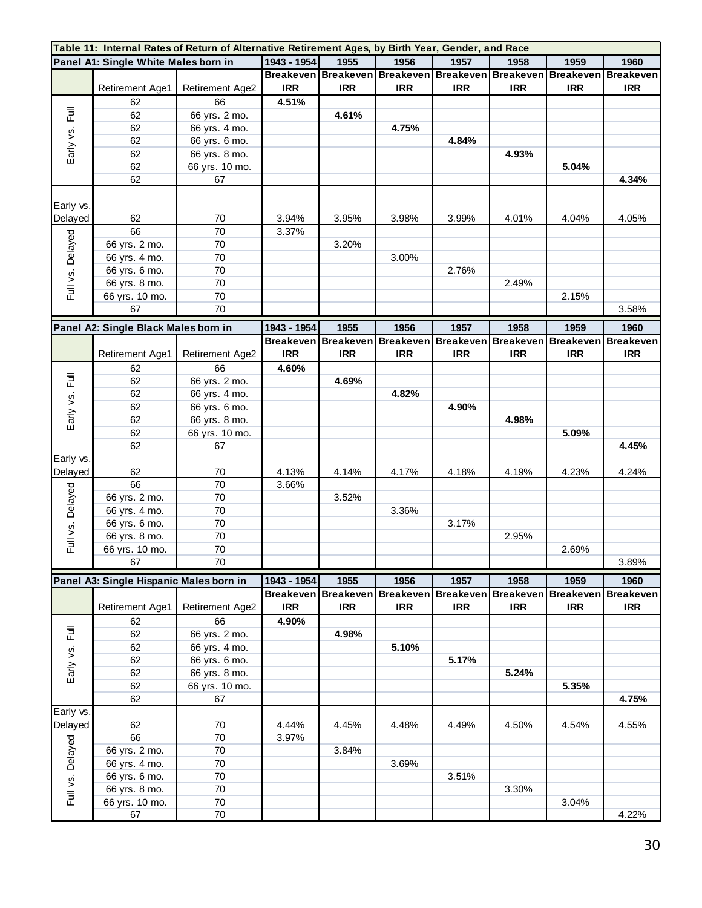| Table 11: Internal Rates of Return of Alternative Retirement Ages, by Birth Year, Gender, and Race |                                         |                        |             |            |                                                           |            |            |                  |                  |
|----------------------------------------------------------------------------------------------------|-----------------------------------------|------------------------|-------------|------------|-----------------------------------------------------------|------------|------------|------------------|------------------|
| Panel A1: Single White Males born in                                                               |                                         | 1943 - 1954            | 1955        | 1956       | 1957                                                      | 1958       | 1959       | 1960             |                  |
|                                                                                                    |                                         |                        |             |            | Breakeven   Breakeven   Breakeven   Breakeven   Breakeven |            |            | Breakeven        | <b>Breakeven</b> |
|                                                                                                    | <b>Retirement Age1</b>                  | <b>Retirement Age2</b> | <b>IRR</b>  | <b>IRR</b> | <b>IRR</b>                                                | <b>IRR</b> | <b>IRR</b> | <b>IRR</b>       | <b>IRR</b>       |
|                                                                                                    | 62                                      | 66                     | 4.51%       |            |                                                           |            |            |                  |                  |
| Ful                                                                                                | 62                                      | 66 yrs. 2 mo.          |             | 4.61%      |                                                           |            |            |                  |                  |
|                                                                                                    | 62                                      | 66 yrs. 4 mo.          |             |            | 4.75%                                                     |            |            |                  |                  |
| Early vs.                                                                                          | 62                                      | 66 yrs. 6 mo.          |             |            |                                                           | 4.84%      |            |                  |                  |
|                                                                                                    | 62                                      | 66 yrs. 8 mo.          |             |            |                                                           |            | 4.93%      |                  |                  |
|                                                                                                    | 62                                      | 66 yrs. 10 mo.         |             |            |                                                           |            |            | 5.04%            |                  |
|                                                                                                    | 62                                      | 67                     |             |            |                                                           |            |            |                  | 4.34%            |
|                                                                                                    |                                         |                        |             |            |                                                           |            |            |                  |                  |
| Early vs.                                                                                          |                                         |                        |             |            |                                                           |            |            |                  |                  |
| Delayed                                                                                            | 62                                      | 70                     | 3.94%       | 3.95%      | 3.98%                                                     | 3.99%      | 4.01%      | 4.04%            | 4.05%            |
|                                                                                                    | 66                                      | 70                     | 3.37%       |            |                                                           |            |            |                  |                  |
| Full vs. Delayed                                                                                   | 66 yrs. 2 mo.                           | $70\,$                 |             | 3.20%      |                                                           |            |            |                  |                  |
|                                                                                                    |                                         |                        |             |            |                                                           |            |            |                  |                  |
|                                                                                                    | 66 yrs. 4 mo.                           | $70\,$                 |             |            | 3.00%                                                     |            |            |                  |                  |
|                                                                                                    | 66 yrs. 6 mo.                           | 70                     |             |            |                                                           | 2.76%      |            |                  |                  |
|                                                                                                    | 66 yrs. 8 mo.                           | $70\,$                 |             |            |                                                           |            | 2.49%      |                  |                  |
|                                                                                                    | 66 yrs. 10 mo.                          | $70\,$                 |             |            |                                                           |            |            | 2.15%            |                  |
|                                                                                                    | 67                                      | $70\,$                 |             |            |                                                           |            |            |                  | 3.58%            |
|                                                                                                    | Panel A2: Single Black Males born in    |                        | 1943 - 1954 | 1955       | 1956                                                      | 1957       | 1958       | 1959             | 1960             |
|                                                                                                    |                                         |                        |             |            | Breakeven   Breakeven   Breakeven   Breakeven   Breakeven |            |            | <b>Breakeven</b> | <b>Breakeven</b> |
|                                                                                                    | <b>Retirement Age1</b>                  | <b>Retirement Age2</b> | <b>IRR</b>  | <b>IRR</b> | <b>IRR</b>                                                | <b>IRR</b> | <b>IRR</b> | <b>IRR</b>       | <b>IRR</b>       |
|                                                                                                    | 62                                      | 66                     | 4.60%       |            |                                                           |            |            |                  |                  |
| $\overline{\overline{E}}$                                                                          | 62                                      | 66 yrs. 2 mo.          |             | 4.69%      |                                                           |            |            |                  |                  |
|                                                                                                    | 62                                      | 66 yrs. 4 mo.          |             |            | 4.82%                                                     |            |            |                  |                  |
| Early vs.                                                                                          | 62                                      | 66 yrs. 6 mo.          |             |            |                                                           | 4.90%      |            |                  |                  |
|                                                                                                    | 62                                      | 66 yrs. 8 mo.          |             |            |                                                           |            | 4.98%      |                  |                  |
|                                                                                                    | 62                                      |                        |             |            |                                                           |            |            |                  |                  |
|                                                                                                    |                                         | 66 yrs. 10 mo.         |             |            |                                                           |            |            | 5.09%            |                  |
|                                                                                                    | 62                                      | 67                     |             |            |                                                           |            |            |                  | 4.45%            |
| Early vs.                                                                                          |                                         |                        |             |            |                                                           |            |            |                  |                  |
| Delayed                                                                                            | 62                                      | 70                     | 4.13%       | 4.14%      | 4.17%                                                     | 4.18%      | 4.19%      | 4.23%            | 4.24%            |
| Full vs. Delayed                                                                                   | 66                                      | 70                     | 3.66%       |            |                                                           |            |            |                  |                  |
|                                                                                                    | 66 yrs. 2 mo.                           | 70                     |             | 3.52%      |                                                           |            |            |                  |                  |
|                                                                                                    | 66 yrs. 4 mo.                           | 70                     |             |            | 3.36%                                                     |            |            |                  |                  |
|                                                                                                    | 66 yrs. 6 mo.                           | $70\,$                 |             |            |                                                           | 3.17%      |            |                  |                  |
|                                                                                                    | 66 yrs. 8 mo.                           | $70\,$                 |             |            |                                                           |            | 2.95%      |                  |                  |
|                                                                                                    | 66 yrs. 10 mo.                          | $70\,$                 |             |            |                                                           |            |            | 2.69%            |                  |
|                                                                                                    | 67                                      | 70                     |             |            |                                                           |            |            |                  | 3.89%            |
|                                                                                                    | Panel A3: Single Hispanic Males born in |                        | 1943 - 1954 | 1955       | 1956                                                      | 1957       | 1958       | 1959             | 1960             |
|                                                                                                    |                                         |                        |             |            | Breakeven   Breakeven   Breakeven   Breakeven   Breakeven |            |            | <b>Breakeven</b> | <b>Breakeven</b> |
|                                                                                                    | Retirement Age1                         | <b>Retirement Age2</b> | <b>IRR</b>  | <b>IRR</b> | <b>IRR</b>                                                | <b>IRR</b> | <b>IRR</b> | <b>IRR</b>       | <b>IRR</b>       |
|                                                                                                    | 62                                      | 66                     | 4.90%       |            |                                                           |            |            |                  |                  |
| Ē                                                                                                  | 62                                      | 66 yrs. 2 mo.          |             | 4.98%      |                                                           |            |            |                  |                  |
|                                                                                                    | 62                                      | 66 yrs. 4 mo.          |             |            | 5.10%                                                     |            |            |                  |                  |
|                                                                                                    | 62                                      | 66 yrs. 6 mo.          |             |            |                                                           | 5.17%      |            |                  |                  |
| Early vs.                                                                                          | 62                                      | 66 yrs. 8 mo.          |             |            |                                                           |            | 5.24%      |                  |                  |
|                                                                                                    | 62                                      |                        |             |            |                                                           |            |            | 5.35%            |                  |
|                                                                                                    |                                         | 66 yrs. 10 mo.         |             |            |                                                           |            |            |                  |                  |
|                                                                                                    | 62                                      | 67                     |             |            |                                                           |            |            |                  | 4.75%            |
| Early vs.                                                                                          |                                         |                        |             |            |                                                           |            |            |                  |                  |
| Delayed                                                                                            | 62                                      | $70\,$                 | 4.44%       | 4.45%      | 4.48%                                                     | 4.49%      | 4.50%      | 4.54%            | 4.55%            |
|                                                                                                    | 66                                      | 70                     | 3.97%       |            |                                                           |            |            |                  |                  |
|                                                                                                    | 66 yrs. 2 mo.                           | $70\,$                 |             | 3.84%      |                                                           |            |            |                  |                  |
|                                                                                                    | 66 yrs. 4 mo.                           | $70\,$                 |             |            | 3.69%                                                     |            |            |                  |                  |
| Full vs. Delayed                                                                                   | 66 yrs. 6 mo.                           | $70\,$                 |             |            |                                                           | 3.51%      |            |                  |                  |
|                                                                                                    | 66 yrs. 8 mo.                           | $70\,$                 |             |            |                                                           |            | 3.30%      |                  |                  |
|                                                                                                    | 66 yrs. 10 mo.                          | 70                     |             |            |                                                           |            |            | 3.04%            |                  |
|                                                                                                    | 67                                      | 70                     |             |            |                                                           |            |            |                  | 4.22%            |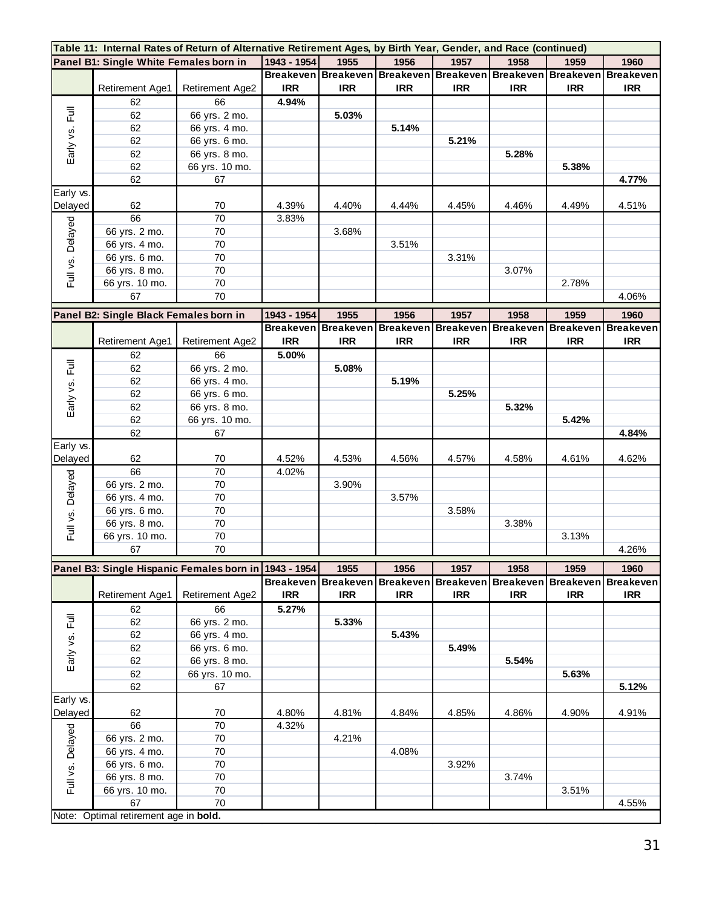| 1943 - 1954<br>1960<br>Panel B1: Single White Females born in<br>1955<br>1956<br>1957<br>1958<br>1959<br>Breakeven Breakeven Breakeven Breakeven Breakeven Breakeven Breakeven<br><b>IRR</b><br>Retirement Age1<br><b>IRR</b><br><b>IRR</b><br><b>IRR</b><br><b>IRR</b><br><b>IRR</b><br><b>IRR</b><br><b>Retirement Age2</b><br>66<br>4.94%<br>62<br>Early vs. Full<br>62<br>66 yrs. 2 mo.<br>5.03%<br>62<br>66 yrs. 4 mo.<br>5.14%<br>62<br>66 yrs. 6 mo.<br>5.21%<br>66 yrs. 8 mo.<br>62<br>5.28%<br>62<br>66 yrs. 10 mo.<br>5.38%<br>62<br>67<br>4.77%<br>Early vs.<br>Delayed<br>62<br>4.39%<br>4.51%<br>70<br>4.40%<br>4.44%<br>4.45%<br>4.46%<br>4.49%<br>66<br>70<br>3.83%<br>Full vs. Delayed<br>66 yrs. 2 mo.<br>70<br>3.68%<br>70<br>3.51%<br>66 yrs. 4 mo.<br>66 yrs. 6 mo.<br>70<br>3.31%<br>66 yrs. 8 mo.<br>70<br>3.07%<br>66 yrs. 10 mo.<br>70<br>2.78%<br>70<br>4.06%<br>67<br>Panel B2: Single Black Females born in<br>1943 - 1954<br>1955<br>1956<br>1957<br>1958<br>1959<br>1960<br>Breakeven   Breakeven   Breakeven   Breakeven   Breakeven   Breakeven   Breakeven<br><b>Retirement Age1</b><br><b>Retirement Age2</b><br><b>IRR</b><br><b>IRR</b><br><b>IRR</b><br><b>IRR</b><br><b>IRR</b><br><b>IRR</b><br><b>IRR</b><br>62<br>66<br>5.00%<br>$\overline{\Xi}$<br>62<br>66 yrs. 2 mo.<br>5.08%<br>66 yrs. 4 mo.<br>62<br>5.19%<br>Early vs.<br>62<br>66 yrs. 6 mo.<br>5.25%<br>62<br>66 yrs. 8 mo.<br>5.32%<br>62<br>66 yrs. 10 mo.<br>5.42%<br>62<br>4.84%<br>67<br>Early vs.<br>Delayed<br>62<br>70<br>4.52%<br>4.53%<br>4.56%<br>4.57%<br>4.58%<br>4.61%<br>4.62%<br>66<br>70<br>4.02%<br>Full vs. Delayed<br>66 yrs. 2 mo.<br>70<br>3.90%<br>66 yrs. 4 mo.<br>70<br>3.57%<br>66 yrs. 6 mo.<br>70<br>3.58%<br>66 yrs. 8 mo.<br>70<br>3.38%<br>70<br>66 yrs. 10 mo.<br>3.13%<br>70<br>67<br>4.26%<br>Panel B3: Single Hispanic Females born in 1943 - 1954<br>1955<br>1956<br>1957<br>1958<br>1959<br>1960<br>Breakeven   Breakeven   Breakeven   Breakeven   Breakeven   Breakeven   Breakeven<br><b>IRR</b><br><b>IRR</b><br><b>IRR</b><br><b>IRR</b><br><b>IRR</b><br>Retirement Age1<br><b>Retirement Age2</b><br><b>IRR</b><br><b>IRR</b><br>66<br>62<br>5.27%<br>$\overline{\Xi}$<br>66 yrs. 2 mo.<br>62<br>5.33%<br>66 yrs. 4 mo.<br>62<br>5.43%<br>Early vs.<br>62<br>66 yrs. 6 mo.<br>5.49%<br>66 yrs. 8 mo.<br>62<br>5.54%<br>62<br>66 yrs. 10 mo.<br>5.63%<br>62<br>67<br>5.12%<br>Early vs.<br>Delayed<br>62<br>$70\,$<br>4.91%<br>4.80%<br>4.81%<br>4.84%<br>4.85%<br>4.86%<br>4.90%<br>66<br>70<br>4.32%<br>Full vs. Delayed<br>66 yrs. 2 mo.<br>70<br>4.21%<br>66 yrs. 4 mo.<br>$70\,$<br>4.08%<br>66 yrs. 6 mo.<br>70<br>3.92%<br>66 yrs. 8 mo.<br>70<br>3.74%<br>66 yrs. 10 mo.<br>70<br>3.51%<br>67<br>70<br>4.55% | Table 11: Internal Rates of Return of Alternative Retirement Ages, by Birth Year, Gender, and Race (continued) |  |  |  |  |  |  |  |  |  |
|-------------------------------------------------------------------------------------------------------------------------------------------------------------------------------------------------------------------------------------------------------------------------------------------------------------------------------------------------------------------------------------------------------------------------------------------------------------------------------------------------------------------------------------------------------------------------------------------------------------------------------------------------------------------------------------------------------------------------------------------------------------------------------------------------------------------------------------------------------------------------------------------------------------------------------------------------------------------------------------------------------------------------------------------------------------------------------------------------------------------------------------------------------------------------------------------------------------------------------------------------------------------------------------------------------------------------------------------------------------------------------------------------------------------------------------------------------------------------------------------------------------------------------------------------------------------------------------------------------------------------------------------------------------------------------------------------------------------------------------------------------------------------------------------------------------------------------------------------------------------------------------------------------------------------------------------------------------------------------------------------------------------------------------------------------------------------------------------------------------------------------------------------------------------------------------------------------------------------------------------------------------------------------------------------------------------------------------------------------------------------------------------------------------------------------------------------------------------------------------------------------------------------------------------------------------------------------------------------------------------------------------------------------------------------------------------------------------------------------------------------------------------|----------------------------------------------------------------------------------------------------------------|--|--|--|--|--|--|--|--|--|
|                                                                                                                                                                                                                                                                                                                                                                                                                                                                                                                                                                                                                                                                                                                                                                                                                                                                                                                                                                                                                                                                                                                                                                                                                                                                                                                                                                                                                                                                                                                                                                                                                                                                                                                                                                                                                                                                                                                                                                                                                                                                                                                                                                                                                                                                                                                                                                                                                                                                                                                                                                                                                                                                                                                                                                   |                                                                                                                |  |  |  |  |  |  |  |  |  |
|                                                                                                                                                                                                                                                                                                                                                                                                                                                                                                                                                                                                                                                                                                                                                                                                                                                                                                                                                                                                                                                                                                                                                                                                                                                                                                                                                                                                                                                                                                                                                                                                                                                                                                                                                                                                                                                                                                                                                                                                                                                                                                                                                                                                                                                                                                                                                                                                                                                                                                                                                                                                                                                                                                                                                                   |                                                                                                                |  |  |  |  |  |  |  |  |  |
|                                                                                                                                                                                                                                                                                                                                                                                                                                                                                                                                                                                                                                                                                                                                                                                                                                                                                                                                                                                                                                                                                                                                                                                                                                                                                                                                                                                                                                                                                                                                                                                                                                                                                                                                                                                                                                                                                                                                                                                                                                                                                                                                                                                                                                                                                                                                                                                                                                                                                                                                                                                                                                                                                                                                                                   |                                                                                                                |  |  |  |  |  |  |  |  |  |
|                                                                                                                                                                                                                                                                                                                                                                                                                                                                                                                                                                                                                                                                                                                                                                                                                                                                                                                                                                                                                                                                                                                                                                                                                                                                                                                                                                                                                                                                                                                                                                                                                                                                                                                                                                                                                                                                                                                                                                                                                                                                                                                                                                                                                                                                                                                                                                                                                                                                                                                                                                                                                                                                                                                                                                   |                                                                                                                |  |  |  |  |  |  |  |  |  |
|                                                                                                                                                                                                                                                                                                                                                                                                                                                                                                                                                                                                                                                                                                                                                                                                                                                                                                                                                                                                                                                                                                                                                                                                                                                                                                                                                                                                                                                                                                                                                                                                                                                                                                                                                                                                                                                                                                                                                                                                                                                                                                                                                                                                                                                                                                                                                                                                                                                                                                                                                                                                                                                                                                                                                                   |                                                                                                                |  |  |  |  |  |  |  |  |  |
|                                                                                                                                                                                                                                                                                                                                                                                                                                                                                                                                                                                                                                                                                                                                                                                                                                                                                                                                                                                                                                                                                                                                                                                                                                                                                                                                                                                                                                                                                                                                                                                                                                                                                                                                                                                                                                                                                                                                                                                                                                                                                                                                                                                                                                                                                                                                                                                                                                                                                                                                                                                                                                                                                                                                                                   |                                                                                                                |  |  |  |  |  |  |  |  |  |
|                                                                                                                                                                                                                                                                                                                                                                                                                                                                                                                                                                                                                                                                                                                                                                                                                                                                                                                                                                                                                                                                                                                                                                                                                                                                                                                                                                                                                                                                                                                                                                                                                                                                                                                                                                                                                                                                                                                                                                                                                                                                                                                                                                                                                                                                                                                                                                                                                                                                                                                                                                                                                                                                                                                                                                   |                                                                                                                |  |  |  |  |  |  |  |  |  |
|                                                                                                                                                                                                                                                                                                                                                                                                                                                                                                                                                                                                                                                                                                                                                                                                                                                                                                                                                                                                                                                                                                                                                                                                                                                                                                                                                                                                                                                                                                                                                                                                                                                                                                                                                                                                                                                                                                                                                                                                                                                                                                                                                                                                                                                                                                                                                                                                                                                                                                                                                                                                                                                                                                                                                                   |                                                                                                                |  |  |  |  |  |  |  |  |  |
|                                                                                                                                                                                                                                                                                                                                                                                                                                                                                                                                                                                                                                                                                                                                                                                                                                                                                                                                                                                                                                                                                                                                                                                                                                                                                                                                                                                                                                                                                                                                                                                                                                                                                                                                                                                                                                                                                                                                                                                                                                                                                                                                                                                                                                                                                                                                                                                                                                                                                                                                                                                                                                                                                                                                                                   |                                                                                                                |  |  |  |  |  |  |  |  |  |
|                                                                                                                                                                                                                                                                                                                                                                                                                                                                                                                                                                                                                                                                                                                                                                                                                                                                                                                                                                                                                                                                                                                                                                                                                                                                                                                                                                                                                                                                                                                                                                                                                                                                                                                                                                                                                                                                                                                                                                                                                                                                                                                                                                                                                                                                                                                                                                                                                                                                                                                                                                                                                                                                                                                                                                   |                                                                                                                |  |  |  |  |  |  |  |  |  |
|                                                                                                                                                                                                                                                                                                                                                                                                                                                                                                                                                                                                                                                                                                                                                                                                                                                                                                                                                                                                                                                                                                                                                                                                                                                                                                                                                                                                                                                                                                                                                                                                                                                                                                                                                                                                                                                                                                                                                                                                                                                                                                                                                                                                                                                                                                                                                                                                                                                                                                                                                                                                                                                                                                                                                                   |                                                                                                                |  |  |  |  |  |  |  |  |  |
|                                                                                                                                                                                                                                                                                                                                                                                                                                                                                                                                                                                                                                                                                                                                                                                                                                                                                                                                                                                                                                                                                                                                                                                                                                                                                                                                                                                                                                                                                                                                                                                                                                                                                                                                                                                                                                                                                                                                                                                                                                                                                                                                                                                                                                                                                                                                                                                                                                                                                                                                                                                                                                                                                                                                                                   |                                                                                                                |  |  |  |  |  |  |  |  |  |
|                                                                                                                                                                                                                                                                                                                                                                                                                                                                                                                                                                                                                                                                                                                                                                                                                                                                                                                                                                                                                                                                                                                                                                                                                                                                                                                                                                                                                                                                                                                                                                                                                                                                                                                                                                                                                                                                                                                                                                                                                                                                                                                                                                                                                                                                                                                                                                                                                                                                                                                                                                                                                                                                                                                                                                   |                                                                                                                |  |  |  |  |  |  |  |  |  |
|                                                                                                                                                                                                                                                                                                                                                                                                                                                                                                                                                                                                                                                                                                                                                                                                                                                                                                                                                                                                                                                                                                                                                                                                                                                                                                                                                                                                                                                                                                                                                                                                                                                                                                                                                                                                                                                                                                                                                                                                                                                                                                                                                                                                                                                                                                                                                                                                                                                                                                                                                                                                                                                                                                                                                                   |                                                                                                                |  |  |  |  |  |  |  |  |  |
|                                                                                                                                                                                                                                                                                                                                                                                                                                                                                                                                                                                                                                                                                                                                                                                                                                                                                                                                                                                                                                                                                                                                                                                                                                                                                                                                                                                                                                                                                                                                                                                                                                                                                                                                                                                                                                                                                                                                                                                                                                                                                                                                                                                                                                                                                                                                                                                                                                                                                                                                                                                                                                                                                                                                                                   |                                                                                                                |  |  |  |  |  |  |  |  |  |
|                                                                                                                                                                                                                                                                                                                                                                                                                                                                                                                                                                                                                                                                                                                                                                                                                                                                                                                                                                                                                                                                                                                                                                                                                                                                                                                                                                                                                                                                                                                                                                                                                                                                                                                                                                                                                                                                                                                                                                                                                                                                                                                                                                                                                                                                                                                                                                                                                                                                                                                                                                                                                                                                                                                                                                   |                                                                                                                |  |  |  |  |  |  |  |  |  |
|                                                                                                                                                                                                                                                                                                                                                                                                                                                                                                                                                                                                                                                                                                                                                                                                                                                                                                                                                                                                                                                                                                                                                                                                                                                                                                                                                                                                                                                                                                                                                                                                                                                                                                                                                                                                                                                                                                                                                                                                                                                                                                                                                                                                                                                                                                                                                                                                                                                                                                                                                                                                                                                                                                                                                                   |                                                                                                                |  |  |  |  |  |  |  |  |  |
|                                                                                                                                                                                                                                                                                                                                                                                                                                                                                                                                                                                                                                                                                                                                                                                                                                                                                                                                                                                                                                                                                                                                                                                                                                                                                                                                                                                                                                                                                                                                                                                                                                                                                                                                                                                                                                                                                                                                                                                                                                                                                                                                                                                                                                                                                                                                                                                                                                                                                                                                                                                                                                                                                                                                                                   |                                                                                                                |  |  |  |  |  |  |  |  |  |
|                                                                                                                                                                                                                                                                                                                                                                                                                                                                                                                                                                                                                                                                                                                                                                                                                                                                                                                                                                                                                                                                                                                                                                                                                                                                                                                                                                                                                                                                                                                                                                                                                                                                                                                                                                                                                                                                                                                                                                                                                                                                                                                                                                                                                                                                                                                                                                                                                                                                                                                                                                                                                                                                                                                                                                   |                                                                                                                |  |  |  |  |  |  |  |  |  |
|                                                                                                                                                                                                                                                                                                                                                                                                                                                                                                                                                                                                                                                                                                                                                                                                                                                                                                                                                                                                                                                                                                                                                                                                                                                                                                                                                                                                                                                                                                                                                                                                                                                                                                                                                                                                                                                                                                                                                                                                                                                                                                                                                                                                                                                                                                                                                                                                                                                                                                                                                                                                                                                                                                                                                                   |                                                                                                                |  |  |  |  |  |  |  |  |  |
|                                                                                                                                                                                                                                                                                                                                                                                                                                                                                                                                                                                                                                                                                                                                                                                                                                                                                                                                                                                                                                                                                                                                                                                                                                                                                                                                                                                                                                                                                                                                                                                                                                                                                                                                                                                                                                                                                                                                                                                                                                                                                                                                                                                                                                                                                                                                                                                                                                                                                                                                                                                                                                                                                                                                                                   |                                                                                                                |  |  |  |  |  |  |  |  |  |
|                                                                                                                                                                                                                                                                                                                                                                                                                                                                                                                                                                                                                                                                                                                                                                                                                                                                                                                                                                                                                                                                                                                                                                                                                                                                                                                                                                                                                                                                                                                                                                                                                                                                                                                                                                                                                                                                                                                                                                                                                                                                                                                                                                                                                                                                                                                                                                                                                                                                                                                                                                                                                                                                                                                                                                   |                                                                                                                |  |  |  |  |  |  |  |  |  |
|                                                                                                                                                                                                                                                                                                                                                                                                                                                                                                                                                                                                                                                                                                                                                                                                                                                                                                                                                                                                                                                                                                                                                                                                                                                                                                                                                                                                                                                                                                                                                                                                                                                                                                                                                                                                                                                                                                                                                                                                                                                                                                                                                                                                                                                                                                                                                                                                                                                                                                                                                                                                                                                                                                                                                                   |                                                                                                                |  |  |  |  |  |  |  |  |  |
|                                                                                                                                                                                                                                                                                                                                                                                                                                                                                                                                                                                                                                                                                                                                                                                                                                                                                                                                                                                                                                                                                                                                                                                                                                                                                                                                                                                                                                                                                                                                                                                                                                                                                                                                                                                                                                                                                                                                                                                                                                                                                                                                                                                                                                                                                                                                                                                                                                                                                                                                                                                                                                                                                                                                                                   |                                                                                                                |  |  |  |  |  |  |  |  |  |
|                                                                                                                                                                                                                                                                                                                                                                                                                                                                                                                                                                                                                                                                                                                                                                                                                                                                                                                                                                                                                                                                                                                                                                                                                                                                                                                                                                                                                                                                                                                                                                                                                                                                                                                                                                                                                                                                                                                                                                                                                                                                                                                                                                                                                                                                                                                                                                                                                                                                                                                                                                                                                                                                                                                                                                   |                                                                                                                |  |  |  |  |  |  |  |  |  |
|                                                                                                                                                                                                                                                                                                                                                                                                                                                                                                                                                                                                                                                                                                                                                                                                                                                                                                                                                                                                                                                                                                                                                                                                                                                                                                                                                                                                                                                                                                                                                                                                                                                                                                                                                                                                                                                                                                                                                                                                                                                                                                                                                                                                                                                                                                                                                                                                                                                                                                                                                                                                                                                                                                                                                                   |                                                                                                                |  |  |  |  |  |  |  |  |  |
|                                                                                                                                                                                                                                                                                                                                                                                                                                                                                                                                                                                                                                                                                                                                                                                                                                                                                                                                                                                                                                                                                                                                                                                                                                                                                                                                                                                                                                                                                                                                                                                                                                                                                                                                                                                                                                                                                                                                                                                                                                                                                                                                                                                                                                                                                                                                                                                                                                                                                                                                                                                                                                                                                                                                                                   |                                                                                                                |  |  |  |  |  |  |  |  |  |
|                                                                                                                                                                                                                                                                                                                                                                                                                                                                                                                                                                                                                                                                                                                                                                                                                                                                                                                                                                                                                                                                                                                                                                                                                                                                                                                                                                                                                                                                                                                                                                                                                                                                                                                                                                                                                                                                                                                                                                                                                                                                                                                                                                                                                                                                                                                                                                                                                                                                                                                                                                                                                                                                                                                                                                   |                                                                                                                |  |  |  |  |  |  |  |  |  |
|                                                                                                                                                                                                                                                                                                                                                                                                                                                                                                                                                                                                                                                                                                                                                                                                                                                                                                                                                                                                                                                                                                                                                                                                                                                                                                                                                                                                                                                                                                                                                                                                                                                                                                                                                                                                                                                                                                                                                                                                                                                                                                                                                                                                                                                                                                                                                                                                                                                                                                                                                                                                                                                                                                                                                                   |                                                                                                                |  |  |  |  |  |  |  |  |  |
|                                                                                                                                                                                                                                                                                                                                                                                                                                                                                                                                                                                                                                                                                                                                                                                                                                                                                                                                                                                                                                                                                                                                                                                                                                                                                                                                                                                                                                                                                                                                                                                                                                                                                                                                                                                                                                                                                                                                                                                                                                                                                                                                                                                                                                                                                                                                                                                                                                                                                                                                                                                                                                                                                                                                                                   |                                                                                                                |  |  |  |  |  |  |  |  |  |
|                                                                                                                                                                                                                                                                                                                                                                                                                                                                                                                                                                                                                                                                                                                                                                                                                                                                                                                                                                                                                                                                                                                                                                                                                                                                                                                                                                                                                                                                                                                                                                                                                                                                                                                                                                                                                                                                                                                                                                                                                                                                                                                                                                                                                                                                                                                                                                                                                                                                                                                                                                                                                                                                                                                                                                   |                                                                                                                |  |  |  |  |  |  |  |  |  |
|                                                                                                                                                                                                                                                                                                                                                                                                                                                                                                                                                                                                                                                                                                                                                                                                                                                                                                                                                                                                                                                                                                                                                                                                                                                                                                                                                                                                                                                                                                                                                                                                                                                                                                                                                                                                                                                                                                                                                                                                                                                                                                                                                                                                                                                                                                                                                                                                                                                                                                                                                                                                                                                                                                                                                                   |                                                                                                                |  |  |  |  |  |  |  |  |  |
|                                                                                                                                                                                                                                                                                                                                                                                                                                                                                                                                                                                                                                                                                                                                                                                                                                                                                                                                                                                                                                                                                                                                                                                                                                                                                                                                                                                                                                                                                                                                                                                                                                                                                                                                                                                                                                                                                                                                                                                                                                                                                                                                                                                                                                                                                                                                                                                                                                                                                                                                                                                                                                                                                                                                                                   |                                                                                                                |  |  |  |  |  |  |  |  |  |
|                                                                                                                                                                                                                                                                                                                                                                                                                                                                                                                                                                                                                                                                                                                                                                                                                                                                                                                                                                                                                                                                                                                                                                                                                                                                                                                                                                                                                                                                                                                                                                                                                                                                                                                                                                                                                                                                                                                                                                                                                                                                                                                                                                                                                                                                                                                                                                                                                                                                                                                                                                                                                                                                                                                                                                   |                                                                                                                |  |  |  |  |  |  |  |  |  |
|                                                                                                                                                                                                                                                                                                                                                                                                                                                                                                                                                                                                                                                                                                                                                                                                                                                                                                                                                                                                                                                                                                                                                                                                                                                                                                                                                                                                                                                                                                                                                                                                                                                                                                                                                                                                                                                                                                                                                                                                                                                                                                                                                                                                                                                                                                                                                                                                                                                                                                                                                                                                                                                                                                                                                                   |                                                                                                                |  |  |  |  |  |  |  |  |  |
|                                                                                                                                                                                                                                                                                                                                                                                                                                                                                                                                                                                                                                                                                                                                                                                                                                                                                                                                                                                                                                                                                                                                                                                                                                                                                                                                                                                                                                                                                                                                                                                                                                                                                                                                                                                                                                                                                                                                                                                                                                                                                                                                                                                                                                                                                                                                                                                                                                                                                                                                                                                                                                                                                                                                                                   |                                                                                                                |  |  |  |  |  |  |  |  |  |
|                                                                                                                                                                                                                                                                                                                                                                                                                                                                                                                                                                                                                                                                                                                                                                                                                                                                                                                                                                                                                                                                                                                                                                                                                                                                                                                                                                                                                                                                                                                                                                                                                                                                                                                                                                                                                                                                                                                                                                                                                                                                                                                                                                                                                                                                                                                                                                                                                                                                                                                                                                                                                                                                                                                                                                   |                                                                                                                |  |  |  |  |  |  |  |  |  |
|                                                                                                                                                                                                                                                                                                                                                                                                                                                                                                                                                                                                                                                                                                                                                                                                                                                                                                                                                                                                                                                                                                                                                                                                                                                                                                                                                                                                                                                                                                                                                                                                                                                                                                                                                                                                                                                                                                                                                                                                                                                                                                                                                                                                                                                                                                                                                                                                                                                                                                                                                                                                                                                                                                                                                                   |                                                                                                                |  |  |  |  |  |  |  |  |  |
|                                                                                                                                                                                                                                                                                                                                                                                                                                                                                                                                                                                                                                                                                                                                                                                                                                                                                                                                                                                                                                                                                                                                                                                                                                                                                                                                                                                                                                                                                                                                                                                                                                                                                                                                                                                                                                                                                                                                                                                                                                                                                                                                                                                                                                                                                                                                                                                                                                                                                                                                                                                                                                                                                                                                                                   |                                                                                                                |  |  |  |  |  |  |  |  |  |
|                                                                                                                                                                                                                                                                                                                                                                                                                                                                                                                                                                                                                                                                                                                                                                                                                                                                                                                                                                                                                                                                                                                                                                                                                                                                                                                                                                                                                                                                                                                                                                                                                                                                                                                                                                                                                                                                                                                                                                                                                                                                                                                                                                                                                                                                                                                                                                                                                                                                                                                                                                                                                                                                                                                                                                   |                                                                                                                |  |  |  |  |  |  |  |  |  |
|                                                                                                                                                                                                                                                                                                                                                                                                                                                                                                                                                                                                                                                                                                                                                                                                                                                                                                                                                                                                                                                                                                                                                                                                                                                                                                                                                                                                                                                                                                                                                                                                                                                                                                                                                                                                                                                                                                                                                                                                                                                                                                                                                                                                                                                                                                                                                                                                                                                                                                                                                                                                                                                                                                                                                                   |                                                                                                                |  |  |  |  |  |  |  |  |  |
|                                                                                                                                                                                                                                                                                                                                                                                                                                                                                                                                                                                                                                                                                                                                                                                                                                                                                                                                                                                                                                                                                                                                                                                                                                                                                                                                                                                                                                                                                                                                                                                                                                                                                                                                                                                                                                                                                                                                                                                                                                                                                                                                                                                                                                                                                                                                                                                                                                                                                                                                                                                                                                                                                                                                                                   |                                                                                                                |  |  |  |  |  |  |  |  |  |
|                                                                                                                                                                                                                                                                                                                                                                                                                                                                                                                                                                                                                                                                                                                                                                                                                                                                                                                                                                                                                                                                                                                                                                                                                                                                                                                                                                                                                                                                                                                                                                                                                                                                                                                                                                                                                                                                                                                                                                                                                                                                                                                                                                                                                                                                                                                                                                                                                                                                                                                                                                                                                                                                                                                                                                   |                                                                                                                |  |  |  |  |  |  |  |  |  |
|                                                                                                                                                                                                                                                                                                                                                                                                                                                                                                                                                                                                                                                                                                                                                                                                                                                                                                                                                                                                                                                                                                                                                                                                                                                                                                                                                                                                                                                                                                                                                                                                                                                                                                                                                                                                                                                                                                                                                                                                                                                                                                                                                                                                                                                                                                                                                                                                                                                                                                                                                                                                                                                                                                                                                                   |                                                                                                                |  |  |  |  |  |  |  |  |  |
|                                                                                                                                                                                                                                                                                                                                                                                                                                                                                                                                                                                                                                                                                                                                                                                                                                                                                                                                                                                                                                                                                                                                                                                                                                                                                                                                                                                                                                                                                                                                                                                                                                                                                                                                                                                                                                                                                                                                                                                                                                                                                                                                                                                                                                                                                                                                                                                                                                                                                                                                                                                                                                                                                                                                                                   |                                                                                                                |  |  |  |  |  |  |  |  |  |
|                                                                                                                                                                                                                                                                                                                                                                                                                                                                                                                                                                                                                                                                                                                                                                                                                                                                                                                                                                                                                                                                                                                                                                                                                                                                                                                                                                                                                                                                                                                                                                                                                                                                                                                                                                                                                                                                                                                                                                                                                                                                                                                                                                                                                                                                                                                                                                                                                                                                                                                                                                                                                                                                                                                                                                   |                                                                                                                |  |  |  |  |  |  |  |  |  |
|                                                                                                                                                                                                                                                                                                                                                                                                                                                                                                                                                                                                                                                                                                                                                                                                                                                                                                                                                                                                                                                                                                                                                                                                                                                                                                                                                                                                                                                                                                                                                                                                                                                                                                                                                                                                                                                                                                                                                                                                                                                                                                                                                                                                                                                                                                                                                                                                                                                                                                                                                                                                                                                                                                                                                                   |                                                                                                                |  |  |  |  |  |  |  |  |  |
|                                                                                                                                                                                                                                                                                                                                                                                                                                                                                                                                                                                                                                                                                                                                                                                                                                                                                                                                                                                                                                                                                                                                                                                                                                                                                                                                                                                                                                                                                                                                                                                                                                                                                                                                                                                                                                                                                                                                                                                                                                                                                                                                                                                                                                                                                                                                                                                                                                                                                                                                                                                                                                                                                                                                                                   |                                                                                                                |  |  |  |  |  |  |  |  |  |
|                                                                                                                                                                                                                                                                                                                                                                                                                                                                                                                                                                                                                                                                                                                                                                                                                                                                                                                                                                                                                                                                                                                                                                                                                                                                                                                                                                                                                                                                                                                                                                                                                                                                                                                                                                                                                                                                                                                                                                                                                                                                                                                                                                                                                                                                                                                                                                                                                                                                                                                                                                                                                                                                                                                                                                   |                                                                                                                |  |  |  |  |  |  |  |  |  |
|                                                                                                                                                                                                                                                                                                                                                                                                                                                                                                                                                                                                                                                                                                                                                                                                                                                                                                                                                                                                                                                                                                                                                                                                                                                                                                                                                                                                                                                                                                                                                                                                                                                                                                                                                                                                                                                                                                                                                                                                                                                                                                                                                                                                                                                                                                                                                                                                                                                                                                                                                                                                                                                                                                                                                                   |                                                                                                                |  |  |  |  |  |  |  |  |  |
|                                                                                                                                                                                                                                                                                                                                                                                                                                                                                                                                                                                                                                                                                                                                                                                                                                                                                                                                                                                                                                                                                                                                                                                                                                                                                                                                                                                                                                                                                                                                                                                                                                                                                                                                                                                                                                                                                                                                                                                                                                                                                                                                                                                                                                                                                                                                                                                                                                                                                                                                                                                                                                                                                                                                                                   |                                                                                                                |  |  |  |  |  |  |  |  |  |
|                                                                                                                                                                                                                                                                                                                                                                                                                                                                                                                                                                                                                                                                                                                                                                                                                                                                                                                                                                                                                                                                                                                                                                                                                                                                                                                                                                                                                                                                                                                                                                                                                                                                                                                                                                                                                                                                                                                                                                                                                                                                                                                                                                                                                                                                                                                                                                                                                                                                                                                                                                                                                                                                                                                                                                   |                                                                                                                |  |  |  |  |  |  |  |  |  |
|                                                                                                                                                                                                                                                                                                                                                                                                                                                                                                                                                                                                                                                                                                                                                                                                                                                                                                                                                                                                                                                                                                                                                                                                                                                                                                                                                                                                                                                                                                                                                                                                                                                                                                                                                                                                                                                                                                                                                                                                                                                                                                                                                                                                                                                                                                                                                                                                                                                                                                                                                                                                                                                                                                                                                                   |                                                                                                                |  |  |  |  |  |  |  |  |  |
|                                                                                                                                                                                                                                                                                                                                                                                                                                                                                                                                                                                                                                                                                                                                                                                                                                                                                                                                                                                                                                                                                                                                                                                                                                                                                                                                                                                                                                                                                                                                                                                                                                                                                                                                                                                                                                                                                                                                                                                                                                                                                                                                                                                                                                                                                                                                                                                                                                                                                                                                                                                                                                                                                                                                                                   |                                                                                                                |  |  |  |  |  |  |  |  |  |
|                                                                                                                                                                                                                                                                                                                                                                                                                                                                                                                                                                                                                                                                                                                                                                                                                                                                                                                                                                                                                                                                                                                                                                                                                                                                                                                                                                                                                                                                                                                                                                                                                                                                                                                                                                                                                                                                                                                                                                                                                                                                                                                                                                                                                                                                                                                                                                                                                                                                                                                                                                                                                                                                                                                                                                   |                                                                                                                |  |  |  |  |  |  |  |  |  |
|                                                                                                                                                                                                                                                                                                                                                                                                                                                                                                                                                                                                                                                                                                                                                                                                                                                                                                                                                                                                                                                                                                                                                                                                                                                                                                                                                                                                                                                                                                                                                                                                                                                                                                                                                                                                                                                                                                                                                                                                                                                                                                                                                                                                                                                                                                                                                                                                                                                                                                                                                                                                                                                                                                                                                                   |                                                                                                                |  |  |  |  |  |  |  |  |  |
|                                                                                                                                                                                                                                                                                                                                                                                                                                                                                                                                                                                                                                                                                                                                                                                                                                                                                                                                                                                                                                                                                                                                                                                                                                                                                                                                                                                                                                                                                                                                                                                                                                                                                                                                                                                                                                                                                                                                                                                                                                                                                                                                                                                                                                                                                                                                                                                                                                                                                                                                                                                                                                                                                                                                                                   |                                                                                                                |  |  |  |  |  |  |  |  |  |
| Note: Optimal retirement age in bold.                                                                                                                                                                                                                                                                                                                                                                                                                                                                                                                                                                                                                                                                                                                                                                                                                                                                                                                                                                                                                                                                                                                                                                                                                                                                                                                                                                                                                                                                                                                                                                                                                                                                                                                                                                                                                                                                                                                                                                                                                                                                                                                                                                                                                                                                                                                                                                                                                                                                                                                                                                                                                                                                                                                             |                                                                                                                |  |  |  |  |  |  |  |  |  |